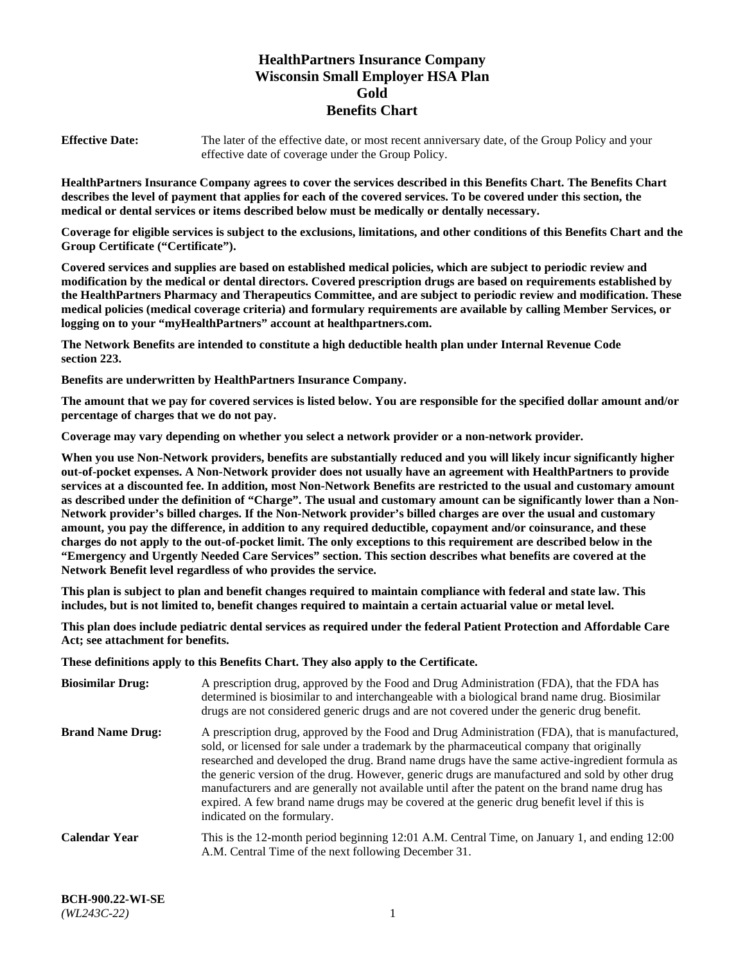# **HealthPartners Insurance Company Wisconsin Small Employer HSA Plan Gold Benefits Chart**

**Effective Date:** The later of the effective date, or most recent anniversary date, of the Group Policy and your effective date of coverage under the Group Policy.

**HealthPartners Insurance Company agrees to cover the services described in this Benefits Chart. The Benefits Chart describes the level of payment that applies for each of the covered services. To be covered under this section, the medical or dental services or items described below must be medically or dentally necessary.**

**Coverage for eligible services is subject to the exclusions, limitations, and other conditions of this Benefits Chart and the Group Certificate ("Certificate").**

**Covered services and supplies are based on established medical policies, which are subject to periodic review and modification by the medical or dental directors. Covered prescription drugs are based on requirements established by the HealthPartners Pharmacy and Therapeutics Committee, and are subject to periodic review and modification. These medical policies (medical coverage criteria) and formulary requirements are available by calling Member Services, or logging on to your "myHealthPartners" account at [healthpartners.com.](https://www.healthpartners.com/hp/index.html)** 

**The Network Benefits are intended to constitute a high deductible health plan under Internal Revenue Code section 223.**

**Benefits are underwritten by HealthPartners Insurance Company.**

**The amount that we pay for covered services is listed below. You are responsible for the specified dollar amount and/or percentage of charges that we do not pay.**

**Coverage may vary depending on whether you select a network provider or a non-network provider.**

**When you use Non-Network providers, benefits are substantially reduced and you will likely incur significantly higher out-of-pocket expenses. A Non-Network provider does not usually have an agreement with HealthPartners to provide services at a discounted fee. In addition, most Non-Network Benefits are restricted to the usual and customary amount as described under the definition of "Charge". The usual and customary amount can be significantly lower than a Non-Network provider's billed charges. If the Non-Network provider's billed charges are over the usual and customary amount, you pay the difference, in addition to any required deductible, copayment and/or coinsurance, and these charges do not apply to the out-of-pocket limit. The only exceptions to this requirement are described below in the "Emergency and Urgently Needed Care Services" section. This section describes what benefits are covered at the Network Benefit level regardless of who provides the service.**

**This plan is subject to plan and benefit changes required to maintain compliance with federal and state law. This includes, but is not limited to, benefit changes required to maintain a certain actuarial value or metal level.**

**This plan does include pediatric dental services as required under the federal Patient Protection and Affordable Care Act; see attachment for benefits.**

**These definitions apply to this Benefits Chart. They also apply to the Certificate.**

| <b>Biosimilar Drug:</b> | A prescription drug, approved by the Food and Drug Administration (FDA), that the FDA has<br>determined is biosimilar to and interchangeable with a biological brand name drug. Biosimilar<br>drugs are not considered generic drugs and are not covered under the generic drug benefit.                                                                                                                                                                                                                                                                                                                                           |
|-------------------------|------------------------------------------------------------------------------------------------------------------------------------------------------------------------------------------------------------------------------------------------------------------------------------------------------------------------------------------------------------------------------------------------------------------------------------------------------------------------------------------------------------------------------------------------------------------------------------------------------------------------------------|
| <b>Brand Name Drug:</b> | A prescription drug, approved by the Food and Drug Administration (FDA), that is manufactured,<br>sold, or licensed for sale under a trademark by the pharmaceutical company that originally<br>researched and developed the drug. Brand name drugs have the same active-ingredient formula as<br>the generic version of the drug. However, generic drugs are manufactured and sold by other drug<br>manufacturers and are generally not available until after the patent on the brand name drug has<br>expired. A few brand name drugs may be covered at the generic drug benefit level if this is<br>indicated on the formulary. |
| Calendar Year           | This is the 12-month period beginning 12:01 A.M. Central Time, on January 1, and ending 12:00<br>A.M. Central Time of the next following December 31.                                                                                                                                                                                                                                                                                                                                                                                                                                                                              |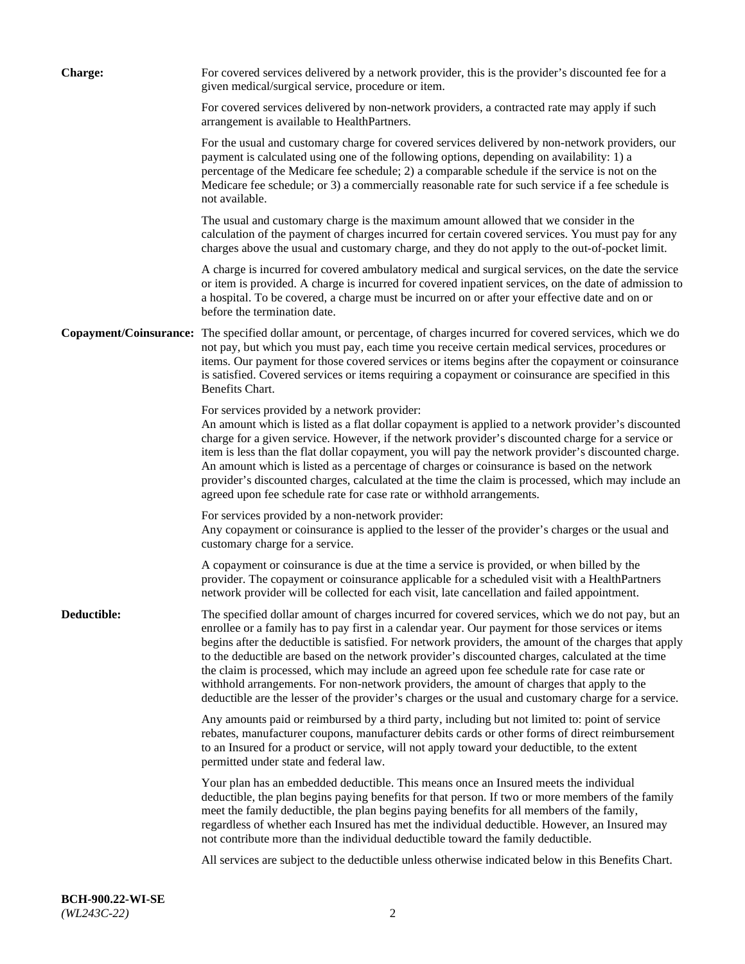| <b>Charge:</b> | For covered services delivered by a network provider, this is the provider's discounted fee for a<br>given medical/surgical service, procedure or item.                                                                                                                                                                                                                                                                                                                                                                                                                                                                                                                                                                 |
|----------------|-------------------------------------------------------------------------------------------------------------------------------------------------------------------------------------------------------------------------------------------------------------------------------------------------------------------------------------------------------------------------------------------------------------------------------------------------------------------------------------------------------------------------------------------------------------------------------------------------------------------------------------------------------------------------------------------------------------------------|
|                | For covered services delivered by non-network providers, a contracted rate may apply if such<br>arrangement is available to HealthPartners.                                                                                                                                                                                                                                                                                                                                                                                                                                                                                                                                                                             |
|                | For the usual and customary charge for covered services delivered by non-network providers, our<br>payment is calculated using one of the following options, depending on availability: 1) a<br>percentage of the Medicare fee schedule; 2) a comparable schedule if the service is not on the<br>Medicare fee schedule; or 3) a commercially reasonable rate for such service if a fee schedule is<br>not available.                                                                                                                                                                                                                                                                                                   |
|                | The usual and customary charge is the maximum amount allowed that we consider in the<br>calculation of the payment of charges incurred for certain covered services. You must pay for any<br>charges above the usual and customary charge, and they do not apply to the out-of-pocket limit.                                                                                                                                                                                                                                                                                                                                                                                                                            |
|                | A charge is incurred for covered ambulatory medical and surgical services, on the date the service<br>or item is provided. A charge is incurred for covered inpatient services, on the date of admission to<br>a hospital. To be covered, a charge must be incurred on or after your effective date and on or<br>before the termination date.                                                                                                                                                                                                                                                                                                                                                                           |
|                | Copayment/Coinsurance: The specified dollar amount, or percentage, of charges incurred for covered services, which we do<br>not pay, but which you must pay, each time you receive certain medical services, procedures or<br>items. Our payment for those covered services or items begins after the copayment or coinsurance<br>is satisfied. Covered services or items requiring a copayment or coinsurance are specified in this<br>Benefits Chart.                                                                                                                                                                                                                                                                 |
|                | For services provided by a network provider:<br>An amount which is listed as a flat dollar copayment is applied to a network provider's discounted<br>charge for a given service. However, if the network provider's discounted charge for a service or<br>item is less than the flat dollar copayment, you will pay the network provider's discounted charge.<br>An amount which is listed as a percentage of charges or coinsurance is based on the network<br>provider's discounted charges, calculated at the time the claim is processed, which may include an<br>agreed upon fee schedule rate for case rate or withhold arrangements.                                                                            |
|                | For services provided by a non-network provider:<br>Any copayment or coinsurance is applied to the lesser of the provider's charges or the usual and<br>customary charge for a service.                                                                                                                                                                                                                                                                                                                                                                                                                                                                                                                                 |
|                | A copayment or coinsurance is due at the time a service is provided, or when billed by the<br>provider. The copayment or coinsurance applicable for a scheduled visit with a HealthPartners<br>network provider will be collected for each visit, late cancellation and failed appointment.                                                                                                                                                                                                                                                                                                                                                                                                                             |
| Deductible:    | The specified dollar amount of charges incurred for covered services, which we do not pay, but an<br>enrollee or a family has to pay first in a calendar year. Our payment for those services or items<br>begins after the deductible is satisfied. For network providers, the amount of the charges that apply<br>to the deductible are based on the network provider's discounted charges, calculated at the time<br>the claim is processed, which may include an agreed upon fee schedule rate for case rate or<br>withhold arrangements. For non-network providers, the amount of charges that apply to the<br>deductible are the lesser of the provider's charges or the usual and customary charge for a service. |
|                | Any amounts paid or reimbursed by a third party, including but not limited to: point of service<br>rebates, manufacturer coupons, manufacturer debits cards or other forms of direct reimbursement<br>to an Insured for a product or service, will not apply toward your deductible, to the extent<br>permitted under state and federal law.                                                                                                                                                                                                                                                                                                                                                                            |
|                | Your plan has an embedded deductible. This means once an Insured meets the individual<br>deductible, the plan begins paying benefits for that person. If two or more members of the family<br>meet the family deductible, the plan begins paying benefits for all members of the family,<br>regardless of whether each Insured has met the individual deductible. However, an Insured may<br>not contribute more than the individual deductible toward the family deductible.                                                                                                                                                                                                                                           |
|                | All services are subject to the deductible unless otherwise indicated below in this Benefits Chart.                                                                                                                                                                                                                                                                                                                                                                                                                                                                                                                                                                                                                     |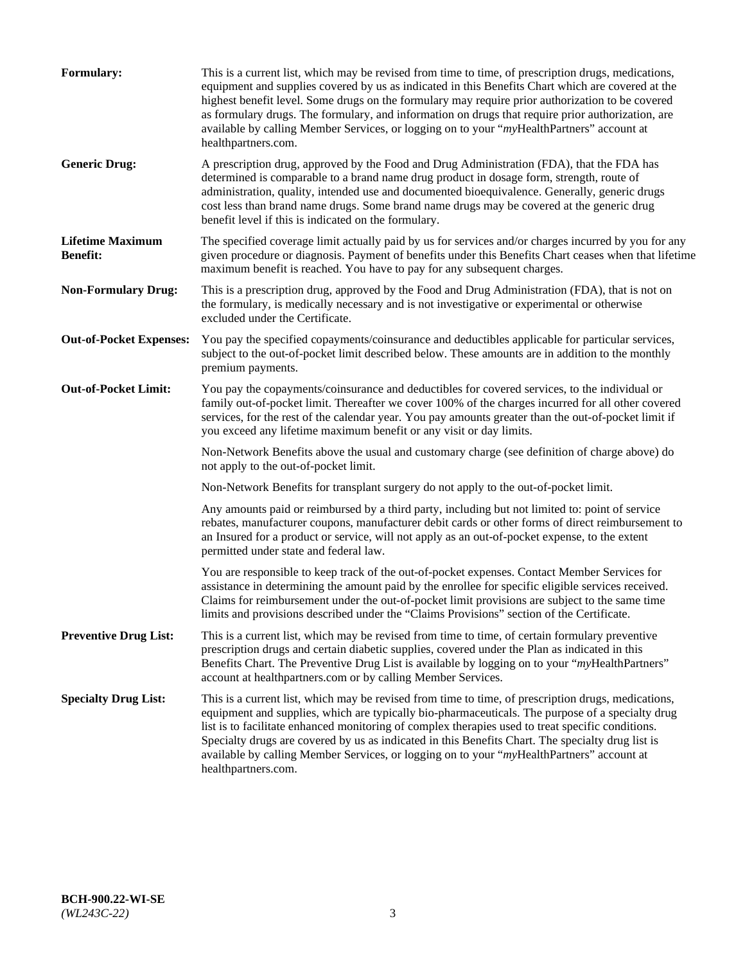| <b>Formulary:</b>                          | This is a current list, which may be revised from time to time, of prescription drugs, medications,<br>equipment and supplies covered by us as indicated in this Benefits Chart which are covered at the<br>highest benefit level. Some drugs on the formulary may require prior authorization to be covered<br>as formulary drugs. The formulary, and information on drugs that require prior authorization, are<br>available by calling Member Services, or logging on to your "myHealthPartners" account at<br>healthpartners.com. |
|--------------------------------------------|---------------------------------------------------------------------------------------------------------------------------------------------------------------------------------------------------------------------------------------------------------------------------------------------------------------------------------------------------------------------------------------------------------------------------------------------------------------------------------------------------------------------------------------|
| <b>Generic Drug:</b>                       | A prescription drug, approved by the Food and Drug Administration (FDA), that the FDA has<br>determined is comparable to a brand name drug product in dosage form, strength, route of<br>administration, quality, intended use and documented bioequivalence. Generally, generic drugs<br>cost less than brand name drugs. Some brand name drugs may be covered at the generic drug<br>benefit level if this is indicated on the formulary.                                                                                           |
| <b>Lifetime Maximum</b><br><b>Benefit:</b> | The specified coverage limit actually paid by us for services and/or charges incurred by you for any<br>given procedure or diagnosis. Payment of benefits under this Benefits Chart ceases when that lifetime<br>maximum benefit is reached. You have to pay for any subsequent charges.                                                                                                                                                                                                                                              |
| <b>Non-Formulary Drug:</b>                 | This is a prescription drug, approved by the Food and Drug Administration (FDA), that is not on<br>the formulary, is medically necessary and is not investigative or experimental or otherwise<br>excluded under the Certificate.                                                                                                                                                                                                                                                                                                     |
| <b>Out-of-Pocket Expenses:</b>             | You pay the specified copayments/coinsurance and deductibles applicable for particular services,<br>subject to the out-of-pocket limit described below. These amounts are in addition to the monthly<br>premium payments.                                                                                                                                                                                                                                                                                                             |
| <b>Out-of-Pocket Limit:</b>                | You pay the copayments/coinsurance and deductibles for covered services, to the individual or<br>family out-of-pocket limit. Thereafter we cover 100% of the charges incurred for all other covered<br>services, for the rest of the calendar year. You pay amounts greater than the out-of-pocket limit if<br>you exceed any lifetime maximum benefit or any visit or day limits.                                                                                                                                                    |
|                                            | Non-Network Benefits above the usual and customary charge (see definition of charge above) do<br>not apply to the out-of-pocket limit.                                                                                                                                                                                                                                                                                                                                                                                                |
|                                            | Non-Network Benefits for transplant surgery do not apply to the out-of-pocket limit.                                                                                                                                                                                                                                                                                                                                                                                                                                                  |
|                                            | Any amounts paid or reimbursed by a third party, including but not limited to: point of service<br>rebates, manufacturer coupons, manufacturer debit cards or other forms of direct reimbursement to<br>an Insured for a product or service, will not apply as an out-of-pocket expense, to the extent<br>permitted under state and federal law.                                                                                                                                                                                      |
|                                            | You are responsible to keep track of the out-of-pocket expenses. Contact Member Services for<br>assistance in determining the amount paid by the enrollee for specific eligible services received.<br>Claims for reimbursement under the out-of-pocket limit provisions are subject to the same time<br>limits and provisions described under the "Claims Provisions" section of the Certificate.                                                                                                                                     |
| <b>Preventive Drug List:</b>               | This is a current list, which may be revised from time to time, of certain formulary preventive<br>prescription drugs and certain diabetic supplies, covered under the Plan as indicated in this<br>Benefits Chart. The Preventive Drug List is available by logging on to your "myHealthPartners"<br>account at healthpartners.com or by calling Member Services.                                                                                                                                                                    |
| <b>Specialty Drug List:</b>                | This is a current list, which may be revised from time to time, of prescription drugs, medications,<br>equipment and supplies, which are typically bio-pharmaceuticals. The purpose of a specialty drug<br>list is to facilitate enhanced monitoring of complex therapies used to treat specific conditions.<br>Specialty drugs are covered by us as indicated in this Benefits Chart. The specialty drug list is<br>available by calling Member Services, or logging on to your "myHealthPartners" account at<br>healthpartners.com. |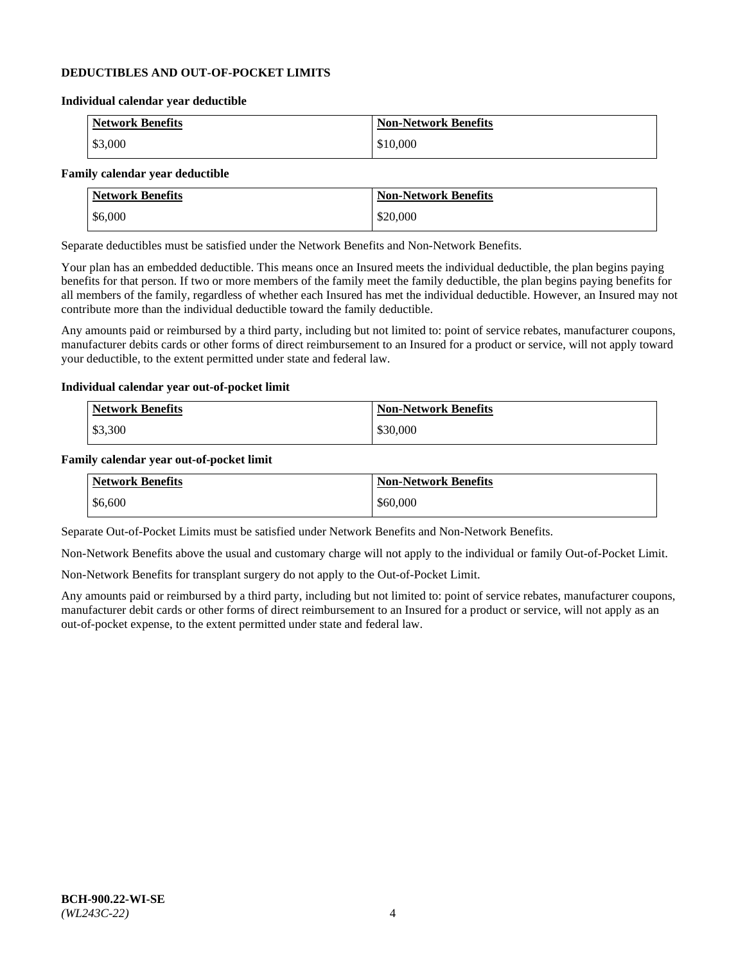### **DEDUCTIBLES AND OUT-OF-POCKET LIMITS**

### **Individual calendar year deductible**

| <b>Network Benefits</b> | <b>Non-Network Benefits</b> |
|-------------------------|-----------------------------|
| \$3,000                 | \$10,000                    |

#### **Family calendar year deductible**

| <b>Network Benefits</b> | <b>Non-Network Benefits</b> |
|-------------------------|-----------------------------|
| \$6,000                 | \$20,000                    |

Separate deductibles must be satisfied under the Network Benefits and Non-Network Benefits.

Your plan has an embedded deductible. This means once an Insured meets the individual deductible, the plan begins paying benefits for that person. If two or more members of the family meet the family deductible, the plan begins paying benefits for all members of the family, regardless of whether each Insured has met the individual deductible. However, an Insured may not contribute more than the individual deductible toward the family deductible.

Any amounts paid or reimbursed by a third party, including but not limited to: point of service rebates, manufacturer coupons, manufacturer debits cards or other forms of direct reimbursement to an Insured for a product or service, will not apply toward your deductible, to the extent permitted under state and federal law.

#### **Individual calendar year out-of-pocket limit**

| Network Benefits | Non-Network Benefits |
|------------------|----------------------|
| \$3,300          | \$30,000             |

#### **Family calendar year out-of-pocket limit**

| <b>Network Benefits</b> | <b>Non-Network Benefits</b> |
|-------------------------|-----------------------------|
| \$6,600                 | \$60,000                    |

Separate Out-of-Pocket Limits must be satisfied under Network Benefits and Non-Network Benefits.

Non-Network Benefits above the usual and customary charge will not apply to the individual or family Out-of-Pocket Limit.

Non-Network Benefits for transplant surgery do not apply to the Out-of-Pocket Limit.

Any amounts paid or reimbursed by a third party, including but not limited to: point of service rebates, manufacturer coupons, manufacturer debit cards or other forms of direct reimbursement to an Insured for a product or service, will not apply as an out-of-pocket expense, to the extent permitted under state and federal law.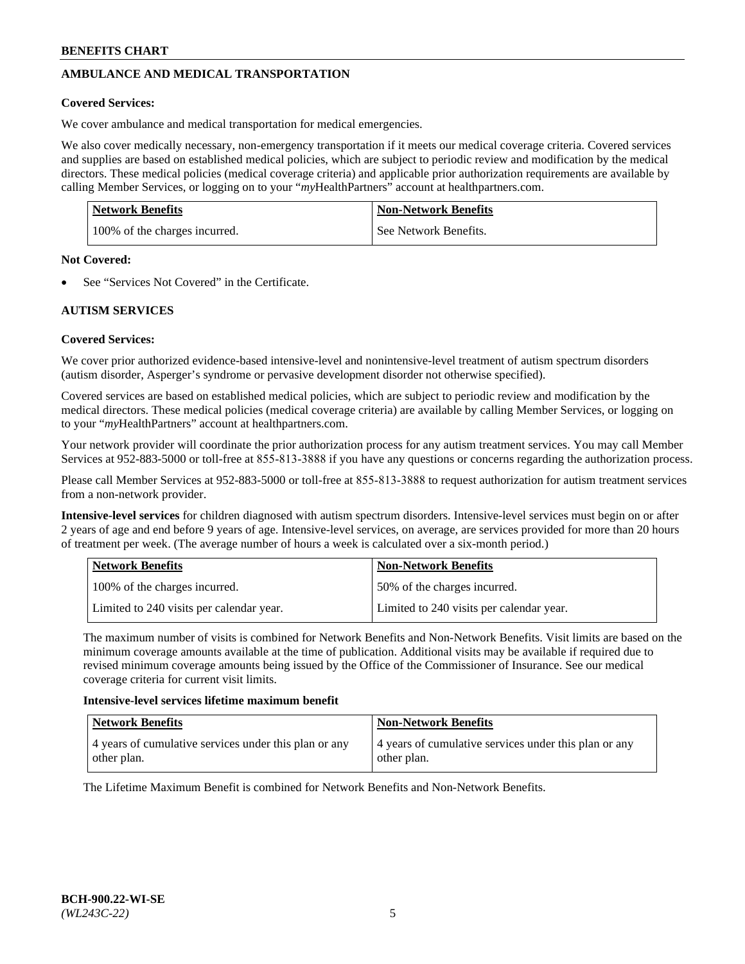# **AMBULANCE AND MEDICAL TRANSPORTATION**

### **Covered Services:**

We cover ambulance and medical transportation for medical emergencies.

We also cover medically necessary, non-emergency transportation if it meets our medical coverage criteria. Covered services and supplies are based on established medical policies, which are subject to periodic review and modification by the medical directors. These medical policies (medical coverage criteria) and applicable prior authorization requirements are available by calling Member Services, or logging on to your "*my*HealthPartners" account a[t healthpartners.com.](https://www.healthpartners.com/hp/index.html)

| Network Benefits              | <b>Non-Network Benefits</b> |
|-------------------------------|-----------------------------|
| 100% of the charges incurred. | See Network Benefits.       |

#### **Not Covered:**

See "Services Not Covered" in the Certificate.

# **AUTISM SERVICES**

# **Covered Services:**

We cover prior authorized evidence-based intensive-level and nonintensive-level treatment of autism spectrum disorders (autism disorder, Asperger's syndrome or pervasive development disorder not otherwise specified).

Covered services are based on established medical policies, which are subject to periodic review and modification by the medical directors. These medical policies (medical coverage criteria) are available by calling Member Services, or logging on to your "*my*HealthPartners" account at [healthpartners.com.](https://www.healthpartners.com/hp/index.html)

Your network provider will coordinate the prior authorization process for any autism treatment services. You may call Member Services at 952-883-5000 or toll-free at 855-813-3888 if you have any questions or concerns regarding the authorization process.

Please call Member Services at 952-883-5000 or toll-free at 855-813-3888 to request authorization for autism treatment services from a non-network provider.

**Intensive-level services** for children diagnosed with autism spectrum disorders. Intensive-level services must begin on or after 2 years of age and end before 9 years of age. Intensive-level services, on average, are services provided for more than 20 hours of treatment per week. (The average number of hours a week is calculated over a six-month period.)

| Network Benefits                         | <b>Non-Network Benefits</b>              |
|------------------------------------------|------------------------------------------|
| 100% of the charges incurred.            | 50% of the charges incurred.             |
| Limited to 240 visits per calendar year. | Limited to 240 visits per calendar year. |

The maximum number of visits is combined for Network Benefits and Non-Network Benefits. Visit limits are based on the minimum coverage amounts available at the time of publication. Additional visits may be available if required due to revised minimum coverage amounts being issued by the Office of the Commissioner of Insurance. See our medical coverage criteria for current visit limits.

#### **Intensive-level services lifetime maximum benefit**

| Network Benefits                                                     | <b>Non-Network Benefits</b>                                          |
|----------------------------------------------------------------------|----------------------------------------------------------------------|
| 4 years of cumulative services under this plan or any<br>other plan. | 4 years of cumulative services under this plan or any<br>other plan. |

The Lifetime Maximum Benefit is combined for Network Benefits and Non-Network Benefits.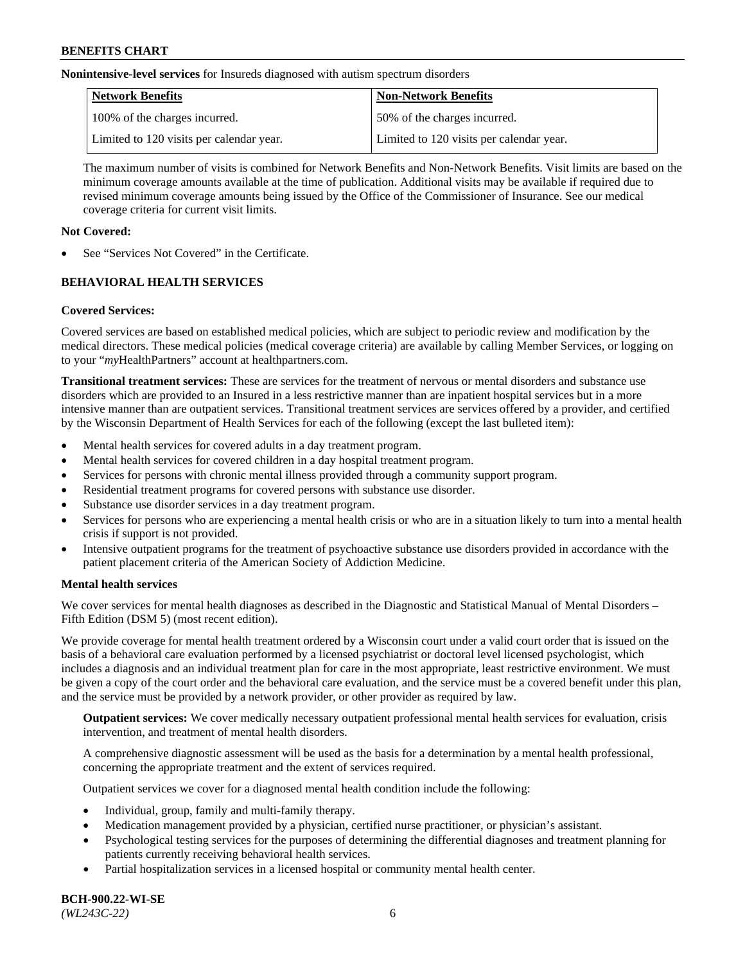**Nonintensive-level services** for Insureds diagnosed with autism spectrum disorders

| Network Benefits                         | <b>Non-Network Benefits</b>              |
|------------------------------------------|------------------------------------------|
| 100% of the charges incurred.            | 50% of the charges incurred.             |
| Limited to 120 visits per calendar year. | Limited to 120 visits per calendar year. |

The maximum number of visits is combined for Network Benefits and Non-Network Benefits. Visit limits are based on the minimum coverage amounts available at the time of publication. Additional visits may be available if required due to revised minimum coverage amounts being issued by the Office of the Commissioner of Insurance. See our medical coverage criteria for current visit limits.

# **Not Covered:**

See "Services Not Covered" in the Certificate.

# **BEHAVIORAL HEALTH SERVICES**

# **Covered Services:**

Covered services are based on established medical policies, which are subject to periodic review and modification by the medical directors. These medical policies (medical coverage criteria) are available by calling Member Services, or logging on to your "*my*HealthPartners" account at [healthpartners.com.](https://www.healthpartners.com/hp/index.html)

**Transitional treatment services:** These are services for the treatment of nervous or mental disorders and substance use disorders which are provided to an Insured in a less restrictive manner than are inpatient hospital services but in a more intensive manner than are outpatient services. Transitional treatment services are services offered by a provider, and certified by the Wisconsin Department of Health Services for each of the following (except the last bulleted item):

- Mental health services for covered adults in a day treatment program.
- Mental health services for covered children in a day hospital treatment program.
- Services for persons with chronic mental illness provided through a community support program.
- Residential treatment programs for covered persons with substance use disorder.
- Substance use disorder services in a day treatment program.
- Services for persons who are experiencing a mental health crisis or who are in a situation likely to turn into a mental health crisis if support is not provided.
- Intensive outpatient programs for the treatment of psychoactive substance use disorders provided in accordance with the patient placement criteria of the American Society of Addiction Medicine.

# **Mental health services**

We cover services for mental health diagnoses as described in the Diagnostic and Statistical Manual of Mental Disorders – Fifth Edition (DSM 5) (most recent edition).

We provide coverage for mental health treatment ordered by a Wisconsin court under a valid court order that is issued on the basis of a behavioral care evaluation performed by a licensed psychiatrist or doctoral level licensed psychologist, which includes a diagnosis and an individual treatment plan for care in the most appropriate, least restrictive environment. We must be given a copy of the court order and the behavioral care evaluation, and the service must be a covered benefit under this plan, and the service must be provided by a network provider, or other provider as required by law.

**Outpatient services:** We cover medically necessary outpatient professional mental health services for evaluation, crisis intervention, and treatment of mental health disorders.

A comprehensive diagnostic assessment will be used as the basis for a determination by a mental health professional, concerning the appropriate treatment and the extent of services required.

Outpatient services we cover for a diagnosed mental health condition include the following:

- Individual, group, family and multi-family therapy.
- Medication management provided by a physician, certified nurse practitioner, or physician's assistant.
- Psychological testing services for the purposes of determining the differential diagnoses and treatment planning for patients currently receiving behavioral health services.
- Partial hospitalization services in a licensed hospital or community mental health center.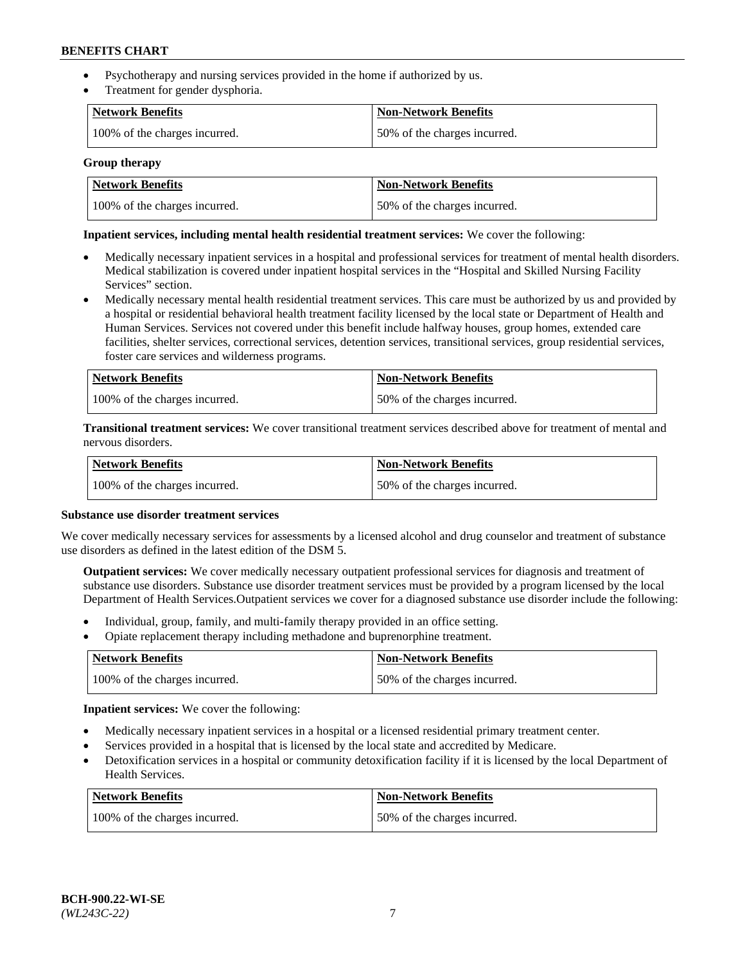- Psychotherapy and nursing services provided in the home if authorized by us.
- Treatment for gender dysphoria.

| Network Benefits              | <b>Non-Network Benefits</b>  |
|-------------------------------|------------------------------|
| 100% of the charges incurred. | 50% of the charges incurred. |

### **Group therapy**

| Network Benefits              | Non-Network Benefits         |
|-------------------------------|------------------------------|
| 100% of the charges incurred. | 50% of the charges incurred. |

### **Inpatient services, including mental health residential treatment services:** We cover the following:

- Medically necessary inpatient services in a hospital and professional services for treatment of mental health disorders. Medical stabilization is covered under inpatient hospital services in the "Hospital and Skilled Nursing Facility Services" section.
- Medically necessary mental health residential treatment services. This care must be authorized by us and provided by a hospital or residential behavioral health treatment facility licensed by the local state or Department of Health and Human Services. Services not covered under this benefit include halfway houses, group homes, extended care facilities, shelter services, correctional services, detention services, transitional services, group residential services, foster care services and wilderness programs.

| Network Benefits              | <b>Non-Network Benefits</b>  |
|-------------------------------|------------------------------|
| 100% of the charges incurred. | 50% of the charges incurred. |

**Transitional treatment services:** We cover transitional treatment services described above for treatment of mental and nervous disorders.

| Network Benefits              | <b>Non-Network Benefits</b>  |
|-------------------------------|------------------------------|
| 100% of the charges incurred. | 50% of the charges incurred. |

### **Substance use disorder treatment services**

We cover medically necessary services for assessments by a licensed alcohol and drug counselor and treatment of substance use disorders as defined in the latest edition of the DSM 5.

**Outpatient services:** We cover medically necessary outpatient professional services for diagnosis and treatment of substance use disorders. Substance use disorder treatment services must be provided by a program licensed by the local Department of Health Services.Outpatient services we cover for a diagnosed substance use disorder include the following:

- Individual, group, family, and multi-family therapy provided in an office setting.
- Opiate replacement therapy including methadone and buprenorphine treatment.

| Network Benefits              | <b>Non-Network Benefits</b>  |
|-------------------------------|------------------------------|
| 100% of the charges incurred. | 50% of the charges incurred. |

**Inpatient services:** We cover the following:

- Medically necessary inpatient services in a hospital or a licensed residential primary treatment center.
- Services provided in a hospital that is licensed by the local state and accredited by Medicare.
- Detoxification services in a hospital or community detoxification facility if it is licensed by the local Department of Health Services.

| Network Benefits              | <b>Non-Network Benefits</b>  |
|-------------------------------|------------------------------|
| 100% of the charges incurred. | 50% of the charges incurred. |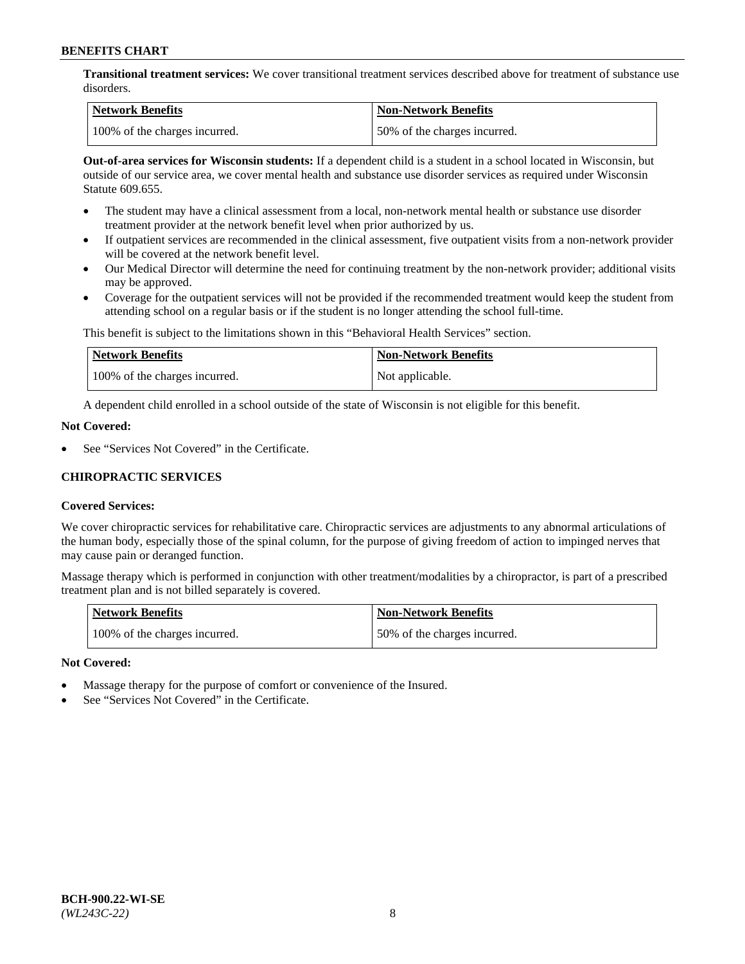**Transitional treatment services:** We cover transitional treatment services described above for treatment of substance use disorders.

| Network Benefits              | <b>Non-Network Benefits</b>  |
|-------------------------------|------------------------------|
| 100% of the charges incurred. | 50% of the charges incurred. |

**Out-of-area services for Wisconsin students:** If a dependent child is a student in a school located in Wisconsin, but outside of our service area, we cover mental health and substance use disorder services as required under Wisconsin Statute 609.655.

- The student may have a clinical assessment from a local, non-network mental health or substance use disorder treatment provider at the network benefit level when prior authorized by us.
- If outpatient services are recommended in the clinical assessment, five outpatient visits from a non-network provider will be covered at the network benefit level.
- Our Medical Director will determine the need for continuing treatment by the non-network provider; additional visits may be approved.
- Coverage for the outpatient services will not be provided if the recommended treatment would keep the student from attending school on a regular basis or if the student is no longer attending the school full-time.

This benefit is subject to the limitations shown in this "Behavioral Health Services" section.

| Network Benefits              | <b>Non-Network Benefits</b> |
|-------------------------------|-----------------------------|
| 100% of the charges incurred. | Not applicable.             |

A dependent child enrolled in a school outside of the state of Wisconsin is not eligible for this benefit.

### **Not Covered:**

See "Services Not Covered" in the Certificate.

# **CHIROPRACTIC SERVICES**

# **Covered Services:**

We cover chiropractic services for rehabilitative care. Chiropractic services are adjustments to any abnormal articulations of the human body, especially those of the spinal column, for the purpose of giving freedom of action to impinged nerves that may cause pain or deranged function.

Massage therapy which is performed in conjunction with other treatment/modalities by a chiropractor, is part of a prescribed treatment plan and is not billed separately is covered.

| <b>Network Benefits</b>       | <b>Non-Network Benefits</b>  |
|-------------------------------|------------------------------|
| 100% of the charges incurred. | 50% of the charges incurred. |

### **Not Covered:**

- Massage therapy for the purpose of comfort or convenience of the Insured.
- See "Services Not Covered" in the Certificate.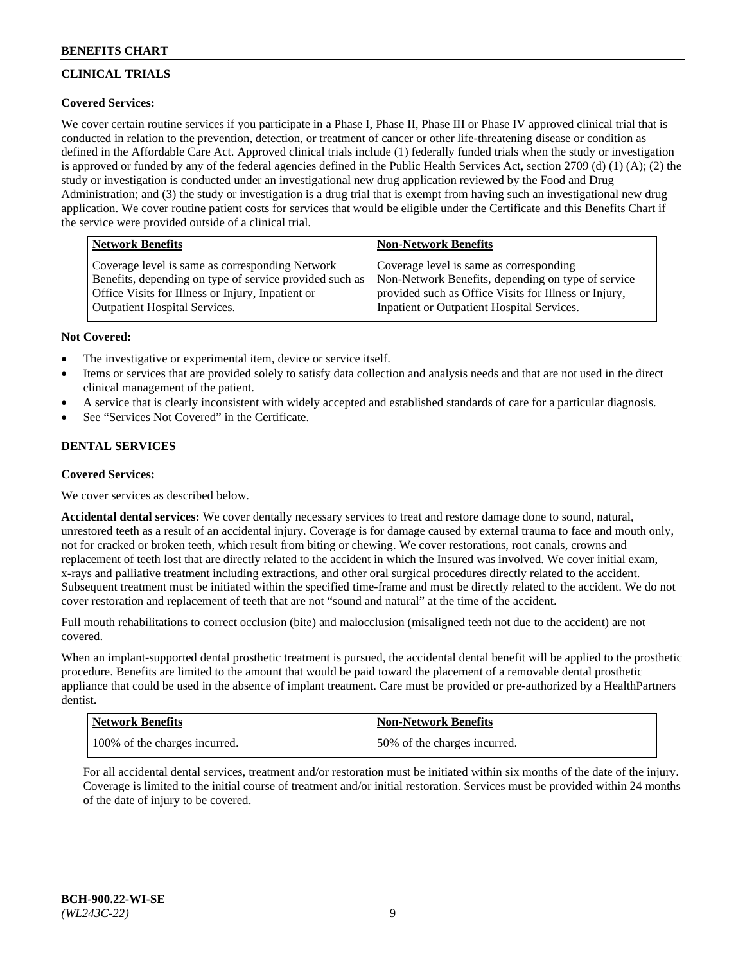# **CLINICAL TRIALS**

# **Covered Services:**

We cover certain routine services if you participate in a Phase I, Phase II, Phase III or Phase IV approved clinical trial that is conducted in relation to the prevention, detection, or treatment of cancer or other life-threatening disease or condition as defined in the Affordable Care Act. Approved clinical trials include (1) federally funded trials when the study or investigation is approved or funded by any of the federal agencies defined in the Public Health Services Act, section 2709 (d) (1) (A); (2) the study or investigation is conducted under an investigational new drug application reviewed by the Food and Drug Administration; and (3) the study or investigation is a drug trial that is exempt from having such an investigational new drug application. We cover routine patient costs for services that would be eligible under the Certificate and this Benefits Chart if the service were provided outside of a clinical trial.

| <b>Network Benefits</b>                                                                                                                                         | <b>Non-Network Benefits</b>                                                                                                                            |
|-----------------------------------------------------------------------------------------------------------------------------------------------------------------|--------------------------------------------------------------------------------------------------------------------------------------------------------|
| Coverage level is same as corresponding Network<br>Benefits, depending on type of service provided such as<br>Office Visits for Illness or Injury, Inpatient or | Coverage level is same as corresponding<br>Non-Network Benefits, depending on type of service<br>provided such as Office Visits for Illness or Injury, |
| <b>Outpatient Hospital Services.</b>                                                                                                                            | Inpatient or Outpatient Hospital Services.                                                                                                             |

### **Not Covered:**

- The investigative or experimental item, device or service itself.
- Items or services that are provided solely to satisfy data collection and analysis needs and that are not used in the direct clinical management of the patient.
- A service that is clearly inconsistent with widely accepted and established standards of care for a particular diagnosis.
- See "Services Not Covered" in the Certificate.

# **DENTAL SERVICES**

# **Covered Services:**

We cover services as described below.

**Accidental dental services:** We cover dentally necessary services to treat and restore damage done to sound, natural, unrestored teeth as a result of an accidental injury. Coverage is for damage caused by external trauma to face and mouth only, not for cracked or broken teeth, which result from biting or chewing. We cover restorations, root canals, crowns and replacement of teeth lost that are directly related to the accident in which the Insured was involved. We cover initial exam, x-rays and palliative treatment including extractions, and other oral surgical procedures directly related to the accident. Subsequent treatment must be initiated within the specified time-frame and must be directly related to the accident. We do not cover restoration and replacement of teeth that are not "sound and natural" at the time of the accident.

Full mouth rehabilitations to correct occlusion (bite) and malocclusion (misaligned teeth not due to the accident) are not covered.

When an implant-supported dental prosthetic treatment is pursued, the accidental dental benefit will be applied to the prosthetic procedure. Benefits are limited to the amount that would be paid toward the placement of a removable dental prosthetic appliance that could be used in the absence of implant treatment. Care must be provided or pre-authorized by a HealthPartners dentist.

| Network Benefits              | <b>Non-Network Benefits</b>  |
|-------------------------------|------------------------------|
| 100% of the charges incurred. | 50% of the charges incurred. |

For all accidental dental services, treatment and/or restoration must be initiated within six months of the date of the injury. Coverage is limited to the initial course of treatment and/or initial restoration. Services must be provided within 24 months of the date of injury to be covered.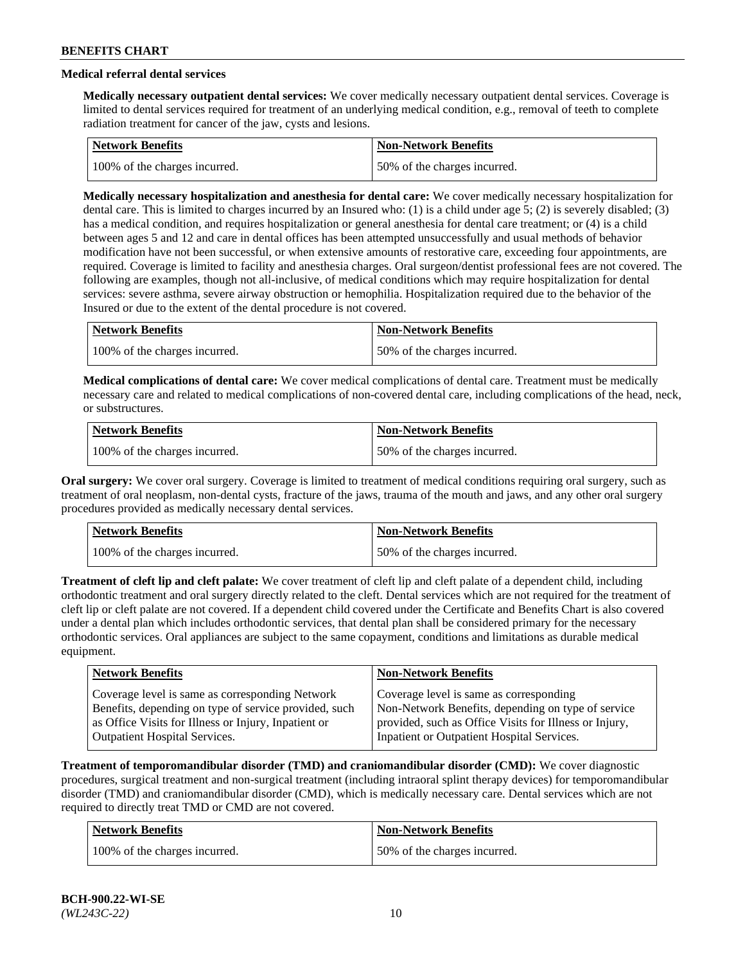# **Medical referral dental services**

**Medically necessary outpatient dental services:** We cover medically necessary outpatient dental services. Coverage is limited to dental services required for treatment of an underlying medical condition, e.g., removal of teeth to complete radiation treatment for cancer of the jaw, cysts and lesions.

| Network Benefits              | <b>Non-Network Benefits</b>  |
|-------------------------------|------------------------------|
| 100% of the charges incurred. | 50% of the charges incurred. |

**Medically necessary hospitalization and anesthesia for dental care:** We cover medically necessary hospitalization for dental care. This is limited to charges incurred by an Insured who: (1) is a child under age 5; (2) is severely disabled; (3) has a medical condition, and requires hospitalization or general anesthesia for dental care treatment; or (4) is a child between ages 5 and 12 and care in dental offices has been attempted unsuccessfully and usual methods of behavior modification have not been successful, or when extensive amounts of restorative care, exceeding four appointments, are required. Coverage is limited to facility and anesthesia charges. Oral surgeon/dentist professional fees are not covered. The following are examples, though not all-inclusive, of medical conditions which may require hospitalization for dental services: severe asthma, severe airway obstruction or hemophilia. Hospitalization required due to the behavior of the Insured or due to the extent of the dental procedure is not covered.

| Network Benefits              | <b>Non-Network Benefits</b>  |
|-------------------------------|------------------------------|
| 100% of the charges incurred. | 50% of the charges incurred. |

**Medical complications of dental care:** We cover medical complications of dental care. Treatment must be medically necessary care and related to medical complications of non-covered dental care, including complications of the head, neck, or substructures.

| Network Benefits              | <b>Non-Network Benefits</b>  |
|-------------------------------|------------------------------|
| 100% of the charges incurred. | 50% of the charges incurred. |

**Oral surgery:** We cover oral surgery. Coverage is limited to treatment of medical conditions requiring oral surgery, such as treatment of oral neoplasm, non-dental cysts, fracture of the jaws, trauma of the mouth and jaws, and any other oral surgery procedures provided as medically necessary dental services.

| Network Benefits              | <b>Non-Network Benefits</b>  |
|-------------------------------|------------------------------|
| 100% of the charges incurred. | 50% of the charges incurred. |

**Treatment of cleft lip and cleft palate:** We cover treatment of cleft lip and cleft palate of a dependent child, including orthodontic treatment and oral surgery directly related to the cleft. Dental services which are not required for the treatment of cleft lip or cleft palate are not covered. If a dependent child covered under the Certificate and Benefits Chart is also covered under a dental plan which includes orthodontic services, that dental plan shall be considered primary for the necessary orthodontic services. Oral appliances are subject to the same copayment, conditions and limitations as durable medical equipment.

| <b>Network Benefits</b>                               | <b>Non-Network Benefits</b>                            |
|-------------------------------------------------------|--------------------------------------------------------|
| Coverage level is same as corresponding Network       | Coverage level is same as corresponding                |
| Benefits, depending on type of service provided, such | Non-Network Benefits, depending on type of service     |
| as Office Visits for Illness or Injury, Inpatient or  | provided, such as Office Visits for Illness or Injury, |
| <b>Outpatient Hospital Services.</b>                  | Inpatient or Outpatient Hospital Services.             |

**Treatment of temporomandibular disorder (TMD) and craniomandibular disorder (CMD):** We cover diagnostic procedures, surgical treatment and non-surgical treatment (including intraoral splint therapy devices) for temporomandibular disorder (TMD) and craniomandibular disorder (CMD), which is medically necessary care. Dental services which are not required to directly treat TMD or CMD are not covered.

| <b>Network Benefits</b>       | <b>Non-Network Benefits</b>  |
|-------------------------------|------------------------------|
| 100% of the charges incurred. | 50% of the charges incurred. |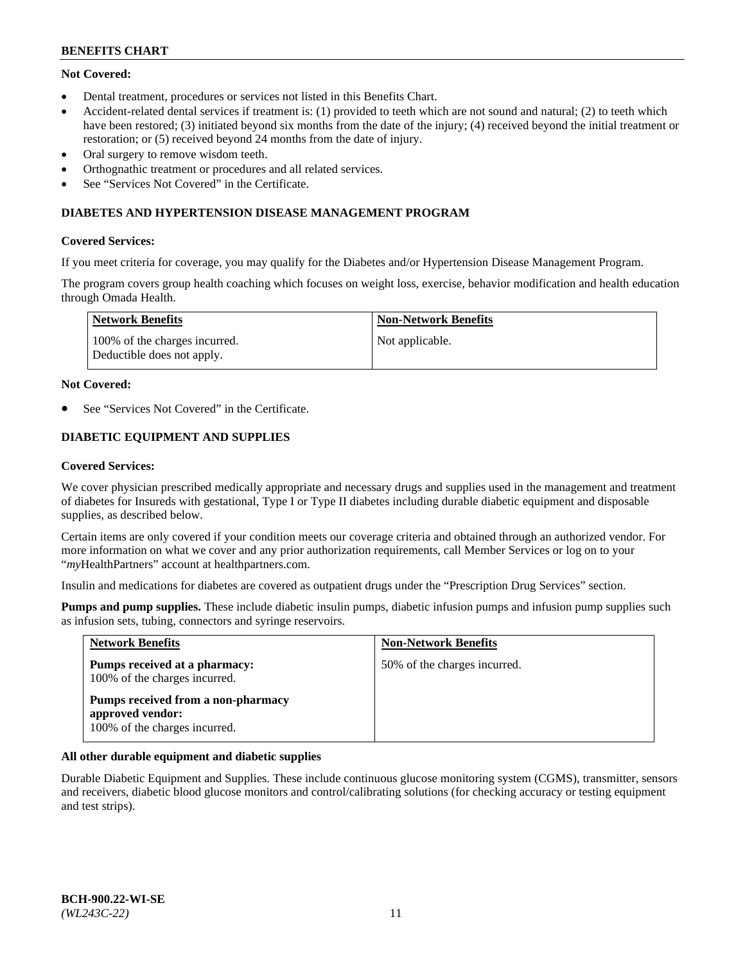# **Not Covered:**

- Dental treatment, procedures or services not listed in this Benefits Chart.
- Accident-related dental services if treatment is: (1) provided to teeth which are not sound and natural; (2) to teeth which have been restored; (3) initiated beyond six months from the date of the injury; (4) received beyond the initial treatment or restoration; or (5) received beyond 24 months from the date of injury.
- Oral surgery to remove wisdom teeth.
- Orthognathic treatment or procedures and all related services.
- See "Services Not Covered" in the Certificate.

### **DIABETES AND HYPERTENSION DISEASE MANAGEMENT PROGRAM**

### **Covered Services:**

If you meet criteria for coverage, you may qualify for the Diabetes and/or Hypertension Disease Management Program.

The program covers group health coaching which focuses on weight loss, exercise, behavior modification and health education through Omada Health.

| <b>Network Benefits</b>                                     | <b>Non-Network Benefits</b> |
|-------------------------------------------------------------|-----------------------------|
| 100% of the charges incurred.<br>Deductible does not apply. | Not applicable.             |

### **Not Covered:**

See "Services Not Covered" in the Certificate.

# **DIABETIC EQUIPMENT AND SUPPLIES**

### **Covered Services:**

We cover physician prescribed medically appropriate and necessary drugs and supplies used in the management and treatment of diabetes for Insureds with gestational, Type I or Type II diabetes including durable diabetic equipment and disposable supplies, as described below.

Certain items are only covered if your condition meets our coverage criteria and obtained through an authorized vendor. For more information on what we cover and any prior authorization requirements, call Member Services or log on to your "*my*HealthPartners" account at [healthpartners.com.](http://www.healthpartners.com/)

Insulin and medications for diabetes are covered as outpatient drugs under the "Prescription Drug Services" section.

**Pumps and pump supplies.** These include diabetic insulin pumps, diabetic infusion pumps and infusion pump supplies such as infusion sets, tubing, connectors and syringe reservoirs.

| <b>Network Benefits</b>                                                                 | <b>Non-Network Benefits</b>  |
|-----------------------------------------------------------------------------------------|------------------------------|
| <b>Pumps received at a pharmacy:</b><br>100% of the charges incurred.                   | 50% of the charges incurred. |
| Pumps received from a non-pharmacy<br>approved vendor:<br>100% of the charges incurred. |                              |

# **All other durable equipment and diabetic supplies**

Durable Diabetic Equipment and Supplies. These include continuous glucose monitoring system (CGMS), transmitter, sensors and receivers, diabetic blood glucose monitors and control/calibrating solutions (for checking accuracy or testing equipment and test strips).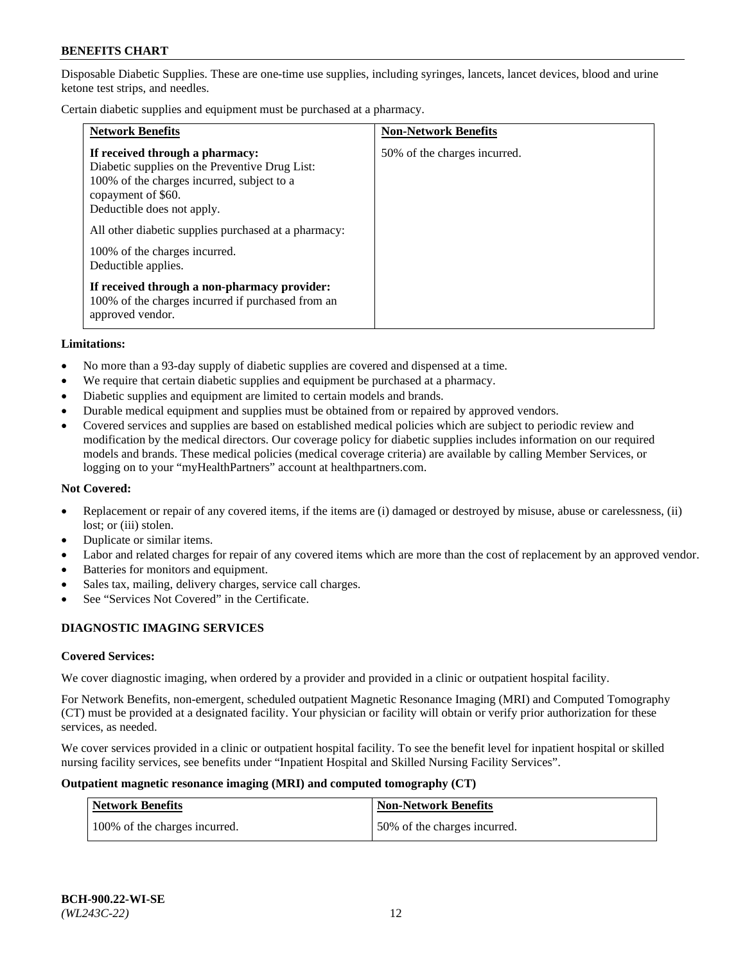Disposable Diabetic Supplies. These are one-time use supplies, including syringes, lancets, lancet devices, blood and urine ketone test strips, and needles.

Certain diabetic supplies and equipment must be purchased at a pharmacy.

| <b>Network Benefits</b>                                                                                                                                                                                                                                                                             | <b>Non-Network Benefits</b>  |
|-----------------------------------------------------------------------------------------------------------------------------------------------------------------------------------------------------------------------------------------------------------------------------------------------------|------------------------------|
| If received through a pharmacy:<br>Diabetic supplies on the Preventive Drug List:<br>100% of the charges incurred, subject to a<br>copayment of \$60.<br>Deductible does not apply.<br>All other diabetic supplies purchased at a pharmacy:<br>100% of the charges incurred.<br>Deductible applies. | 50% of the charges incurred. |
| If received through a non-pharmacy provider:<br>100% of the charges incurred if purchased from an<br>approved vendor.                                                                                                                                                                               |                              |

#### **Limitations:**

- No more than a 93-day supply of diabetic supplies are covered and dispensed at a time.
- We require that certain diabetic supplies and equipment be purchased at a pharmacy.
- Diabetic supplies and equipment are limited to certain models and brands.
- Durable medical equipment and supplies must be obtained from or repaired by approved vendors.
- Covered services and supplies are based on established medical policies which are subject to periodic review and modification by the medical directors. Our coverage policy for diabetic supplies includes information on our required models and brands. These medical policies (medical coverage criteria) are available by calling Member Services, or logging on to your "myHealthPartners" account at [healthpartners.com.](http://www.healthpartners.com/)

### **Not Covered:**

- Replacement or repair of any covered items, if the items are (i) damaged or destroyed by misuse, abuse or carelessness, (ii) lost; or (iii) stolen.
- Duplicate or similar items.
- Labor and related charges for repair of any covered items which are more than the cost of replacement by an approved vendor.
- Batteries for monitors and equipment.
- Sales tax, mailing, delivery charges, service call charges.
- See "Services Not Covered" in the Certificate.

# **DIAGNOSTIC IMAGING SERVICES**

#### **Covered Services:**

We cover diagnostic imaging, when ordered by a provider and provided in a clinic or outpatient hospital facility.

For Network Benefits, non-emergent, scheduled outpatient Magnetic Resonance Imaging (MRI) and Computed Tomography (CT) must be provided at a designated facility. Your physician or facility will obtain or verify prior authorization for these services, as needed.

We cover services provided in a clinic or outpatient hospital facility. To see the benefit level for inpatient hospital or skilled nursing facility services, see benefits under "Inpatient Hospital and Skilled Nursing Facility Services".

#### **Outpatient magnetic resonance imaging (MRI) and computed tomography (CT)**

| <b>Network Benefits</b>       | <b>Non-Network Benefits</b>  |
|-------------------------------|------------------------------|
| 100% of the charges incurred. | 50% of the charges incurred. |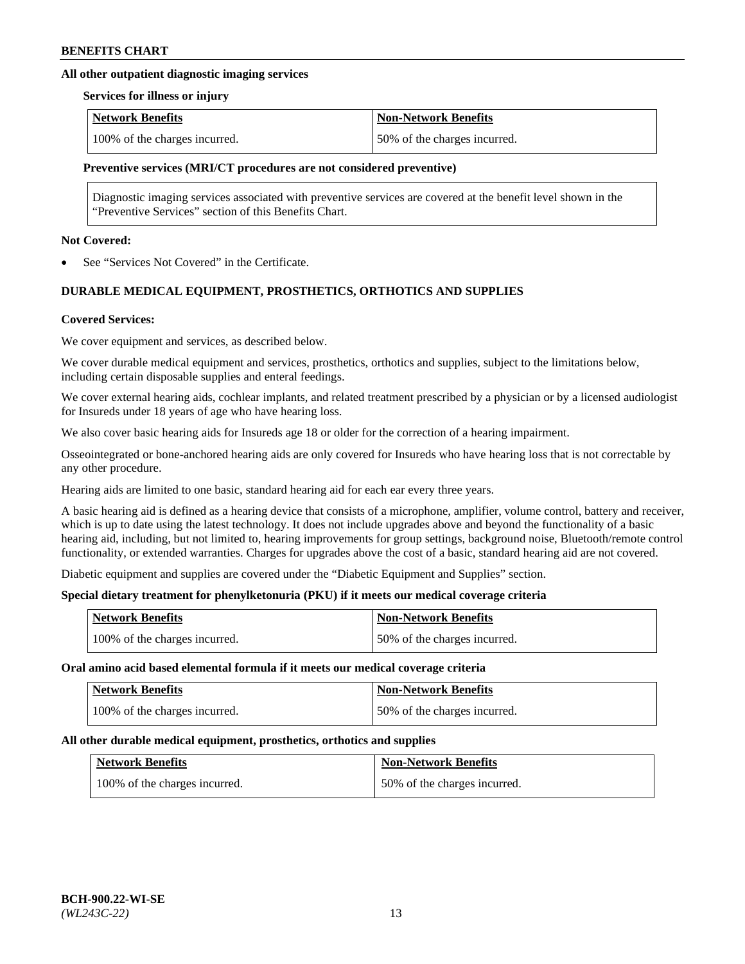# **All other outpatient diagnostic imaging services**

#### **Services for illness or injury**

| <b>Network Benefits</b>       | <b>Non-Network Benefits</b>  |
|-------------------------------|------------------------------|
| 100% of the charges incurred. | 50% of the charges incurred. |

### **Preventive services (MRI/CT procedures are not considered preventive)**

Diagnostic imaging services associated with preventive services are covered at the benefit level shown in the "Preventive Services" section of this Benefits Chart.

### **Not Covered:**

See "Services Not Covered" in the Certificate.

# **DURABLE MEDICAL EQUIPMENT, PROSTHETICS, ORTHOTICS AND SUPPLIES**

### **Covered Services:**

We cover equipment and services, as described below.

We cover durable medical equipment and services, prosthetics, orthotics and supplies, subject to the limitations below, including certain disposable supplies and enteral feedings.

We cover external hearing aids, cochlear implants, and related treatment prescribed by a physician or by a licensed audiologist for Insureds under 18 years of age who have hearing loss.

We also cover basic hearing aids for Insureds age 18 or older for the correction of a hearing impairment.

Osseointegrated or bone-anchored hearing aids are only covered for Insureds who have hearing loss that is not correctable by any other procedure.

Hearing aids are limited to one basic, standard hearing aid for each ear every three years.

A basic hearing aid is defined as a hearing device that consists of a microphone, amplifier, volume control, battery and receiver, which is up to date using the latest technology. It does not include upgrades above and beyond the functionality of a basic hearing aid, including, but not limited to, hearing improvements for group settings, background noise, Bluetooth/remote control functionality, or extended warranties. Charges for upgrades above the cost of a basic, standard hearing aid are not covered.

Diabetic equipment and supplies are covered under the "Diabetic Equipment and Supplies" section.

# **Special dietary treatment for phenylketonuria (PKU) if it meets our medical coverage criteria**

| <b>Network Benefits</b>       | <b>Non-Network Benefits</b>  |
|-------------------------------|------------------------------|
| 100% of the charges incurred. | 50% of the charges incurred. |

#### **Oral amino acid based elemental formula if it meets our medical coverage criteria**

| <b>Network Benefits</b>       | <b>Non-Network Benefits</b>  |
|-------------------------------|------------------------------|
| 100% of the charges incurred. | 50% of the charges incurred. |

#### **All other durable medical equipment, prosthetics, orthotics and supplies**

| <b>Network Benefits</b>       | <b>Non-Network Benefits</b>  |
|-------------------------------|------------------------------|
| 100% of the charges incurred. | 50% of the charges incurred. |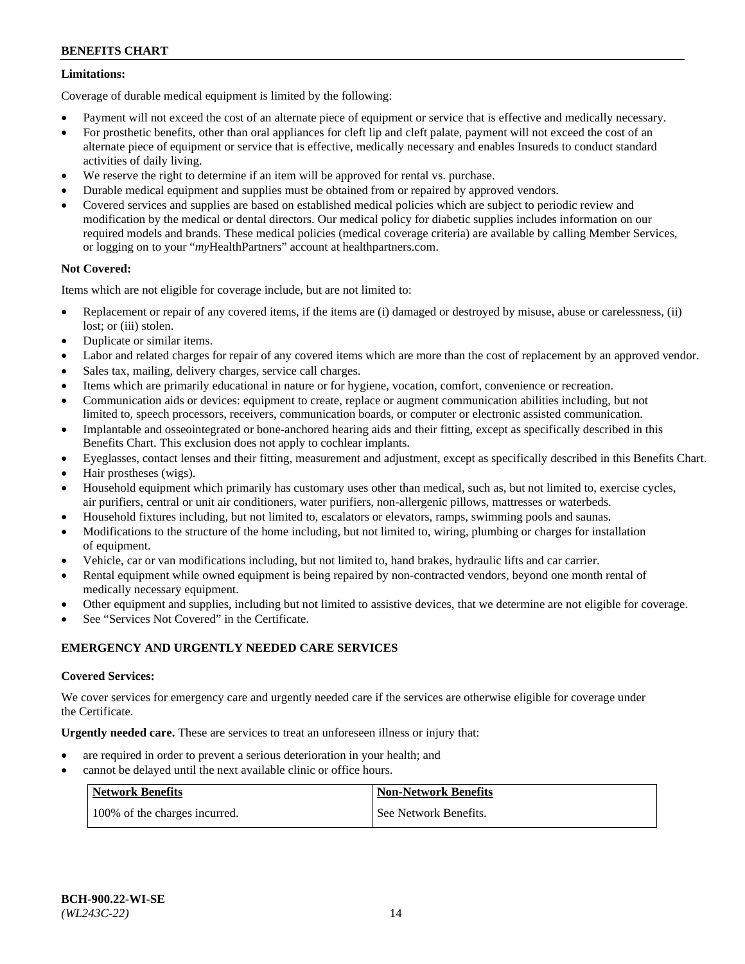# **Limitations:**

Coverage of durable medical equipment is limited by the following:

- Payment will not exceed the cost of an alternate piece of equipment or service that is effective and medically necessary.
- For prosthetic benefits, other than oral appliances for cleft lip and cleft palate, payment will not exceed the cost of an alternate piece of equipment or service that is effective, medically necessary and enables Insureds to conduct standard activities of daily living.
- We reserve the right to determine if an item will be approved for rental vs. purchase.
- Durable medical equipment and supplies must be obtained from or repaired by approved vendors.
- Covered services and supplies are based on established medical policies which are subject to periodic review and modification by the medical or dental directors. Our medical policy for diabetic supplies includes information on our required models and brands. These medical policies (medical coverage criteria) are available by calling Member Services, or logging on to your "*my*HealthPartners" account a[t healthpartners.com.](http://www.healthpartners.com/)

# **Not Covered:**

Items which are not eligible for coverage include, but are not limited to:

- Replacement or repair of any covered items, if the items are (i) damaged or destroyed by misuse, abuse or carelessness, (ii) lost; or (iii) stolen.
- Duplicate or similar items.
- Labor and related charges for repair of any covered items which are more than the cost of replacement by an approved vendor.
- Sales tax, mailing, delivery charges, service call charges.
- Items which are primarily educational in nature or for hygiene, vocation, comfort, convenience or recreation.
- Communication aids or devices: equipment to create, replace or augment communication abilities including, but not limited to, speech processors, receivers, communication boards, or computer or electronic assisted communication.
- Implantable and osseointegrated or bone-anchored hearing aids and their fitting, except as specifically described in this Benefits Chart. This exclusion does not apply to cochlear implants.
- Eyeglasses, contact lenses and their fitting, measurement and adjustment, except as specifically described in this Benefits Chart.
- Hair prostheses (wigs).
- Household equipment which primarily has customary uses other than medical, such as, but not limited to, exercise cycles, air purifiers, central or unit air conditioners, water purifiers, non-allergenic pillows, mattresses or waterbeds.
- Household fixtures including, but not limited to, escalators or elevators, ramps, swimming pools and saunas.
- Modifications to the structure of the home including, but not limited to, wiring, plumbing or charges for installation of equipment.
- Vehicle, car or van modifications including, but not limited to, hand brakes, hydraulic lifts and car carrier.
- Rental equipment while owned equipment is being repaired by non-contracted vendors, beyond one month rental of medically necessary equipment.
- Other equipment and supplies, including but not limited to assistive devices, that we determine are not eligible for coverage.
- See "Services Not Covered" in the Certificate.

# **EMERGENCY AND URGENTLY NEEDED CARE SERVICES**

# **Covered Services:**

We cover services for emergency care and urgently needed care if the services are otherwise eligible for coverage under the Certificate.

**Urgently needed care.** These are services to treat an unforeseen illness or injury that:

- are required in order to prevent a serious deterioration in your health; and
- cannot be delayed until the next available clinic or office hours.

| <b>Network Benefits</b>       | <b>Non-Network Benefits</b> |
|-------------------------------|-----------------------------|
| 100% of the charges incurred. | See Network Benefits.       |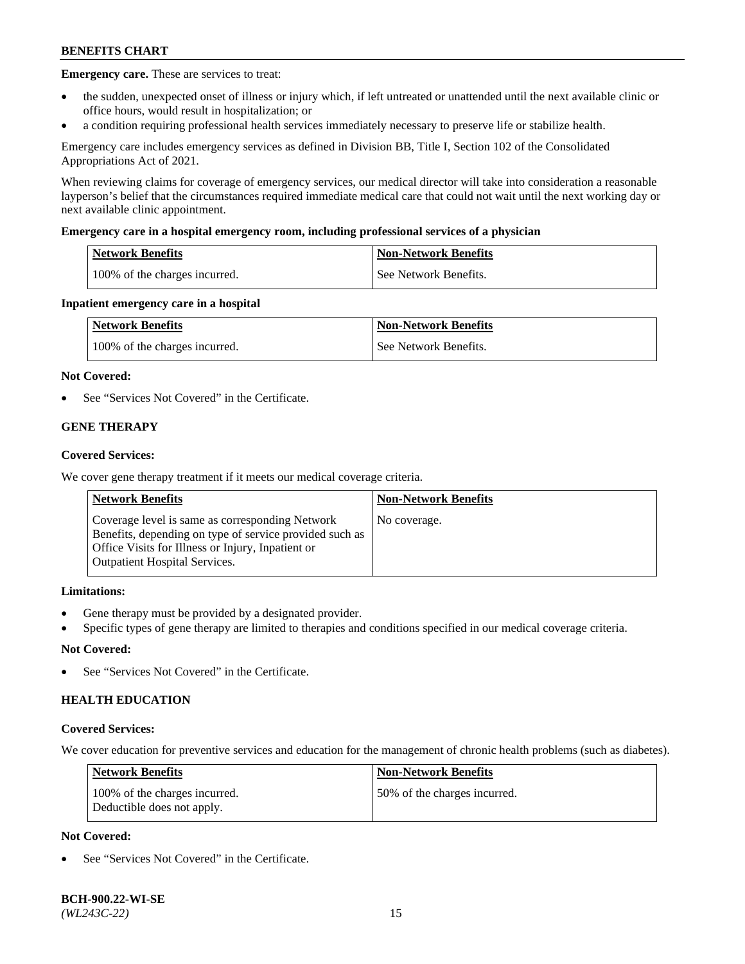**Emergency care.** These are services to treat:

- the sudden, unexpected onset of illness or injury which, if left untreated or unattended until the next available clinic or office hours, would result in hospitalization; or
- a condition requiring professional health services immediately necessary to preserve life or stabilize health.

Emergency care includes emergency services as defined in Division BB, Title I, Section 102 of the Consolidated Appropriations Act of 2021.

When reviewing claims for coverage of emergency services, our medical director will take into consideration a reasonable layperson's belief that the circumstances required immediate medical care that could not wait until the next working day or next available clinic appointment.

### **Emergency care in a hospital emergency room, including professional services of a physician**

| <b>Network Benefits</b>       | <b>Non-Network Benefits</b> |
|-------------------------------|-----------------------------|
| 100% of the charges incurred. | See Network Benefits.       |

### **Inpatient emergency care in a hospital**

| <b>Network Benefits</b>       | <b>Non-Network Benefits</b> |
|-------------------------------|-----------------------------|
| 100% of the charges incurred. | See Network Benefits.       |

### **Not Covered:**

See "Services Not Covered" in the Certificate.

# **GENE THERAPY**

### **Covered Services:**

We cover gene therapy treatment if it meets our medical coverage criteria.

| <b>Network Benefits</b>                                                                                                                                                                                 | <b>Non-Network Benefits</b> |
|---------------------------------------------------------------------------------------------------------------------------------------------------------------------------------------------------------|-----------------------------|
| Coverage level is same as corresponding Network<br>Benefits, depending on type of service provided such as<br>Office Visits for Illness or Injury, Inpatient or<br><b>Outpatient Hospital Services.</b> | No coverage.                |

# **Limitations:**

- Gene therapy must be provided by a designated provider.
- Specific types of gene therapy are limited to therapies and conditions specified in our medical coverage criteria.

# **Not Covered:**

See "Services Not Covered" in the Certificate.

# **HEALTH EDUCATION**

#### **Covered Services:**

We cover education for preventive services and education for the management of chronic health problems (such as diabetes).

| <b>Network Benefits</b>                                     | <b>Non-Network Benefits</b>  |
|-------------------------------------------------------------|------------------------------|
| 100% of the charges incurred.<br>Deductible does not apply. | 50% of the charges incurred. |

# **Not Covered:**

See "Services Not Covered" in the Certificate.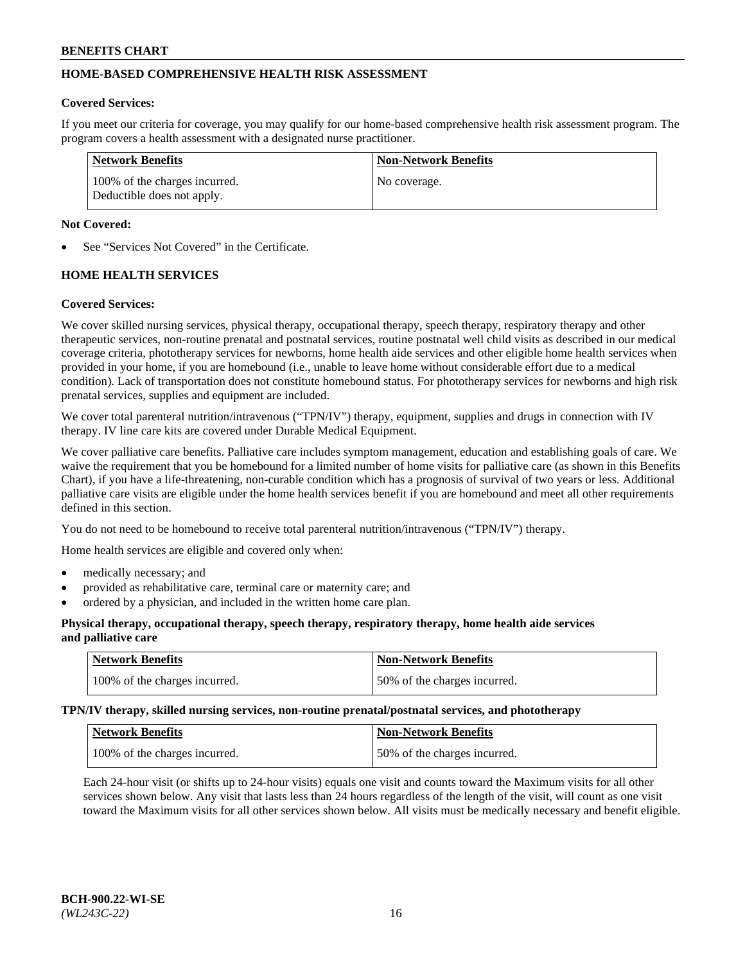# **HOME-BASED COMPREHENSIVE HEALTH RISK ASSESSMENT**

### **Covered Services:**

If you meet our criteria for coverage, you may qualify for our home-based comprehensive health risk assessment program. The program covers a health assessment with a designated nurse practitioner.

| Network Benefits                                            | <b>Non-Network Benefits</b> |
|-------------------------------------------------------------|-----------------------------|
| 100% of the charges incurred.<br>Deductible does not apply. | No coverage.                |

### **Not Covered:**

See "Services Not Covered" in the Certificate.

# **HOME HEALTH SERVICES**

### **Covered Services:**

We cover skilled nursing services, physical therapy, occupational therapy, speech therapy, respiratory therapy and other therapeutic services, non-routine prenatal and postnatal services, routine postnatal well child visits as described in our medical coverage criteria, phototherapy services for newborns, home health aide services and other eligible home health services when provided in your home, if you are homebound (i.e., unable to leave home without considerable effort due to a medical condition). Lack of transportation does not constitute homebound status. For phototherapy services for newborns and high risk prenatal services, supplies and equipment are included.

We cover total parenteral nutrition/intravenous ("TPN/IV") therapy, equipment, supplies and drugs in connection with IV therapy. IV line care kits are covered under Durable Medical Equipment.

We cover palliative care benefits. Palliative care includes symptom management, education and establishing goals of care. We waive the requirement that you be homebound for a limited number of home visits for palliative care (as shown in this Benefits Chart), if you have a life-threatening, non-curable condition which has a prognosis of survival of two years or less. Additional palliative care visits are eligible under the home health services benefit if you are homebound and meet all other requirements defined in this section.

You do not need to be homebound to receive total parenteral nutrition/intravenous ("TPN/IV") therapy.

Home health services are eligible and covered only when:

- medically necessary; and
- provided as rehabilitative care, terminal care or maternity care; and
- ordered by a physician, and included in the written home care plan.

### **Physical therapy, occupational therapy, speech therapy, respiratory therapy, home health aide services and palliative care**

| Network Benefits              | <b>Non-Network Benefits</b>  |
|-------------------------------|------------------------------|
| 100% of the charges incurred. | 50% of the charges incurred. |

**TPN/IV therapy, skilled nursing services, non-routine prenatal/postnatal services, and phototherapy**

| <b>Network Benefits</b>       | Non-Network Benefits         |
|-------------------------------|------------------------------|
| 100% of the charges incurred. | 50% of the charges incurred. |

Each 24-hour visit (or shifts up to 24-hour visits) equals one visit and counts toward the Maximum visits for all other services shown below. Any visit that lasts less than 24 hours regardless of the length of the visit, will count as one visit toward the Maximum visits for all other services shown below. All visits must be medically necessary and benefit eligible.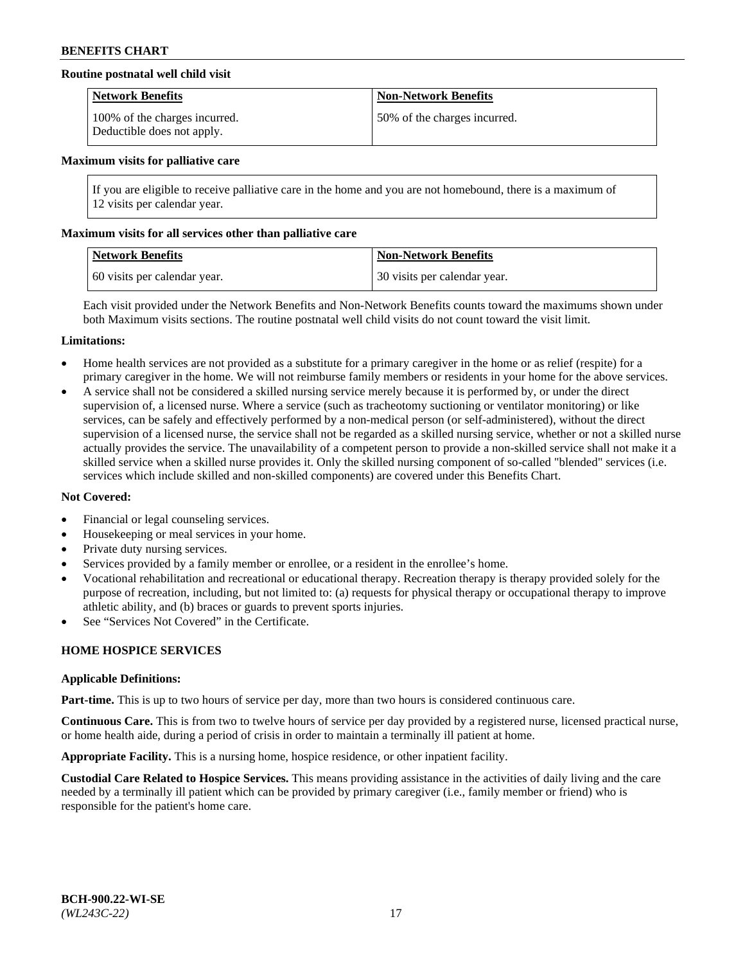# **Routine postnatal well child visit**

| <b>Network Benefits</b>                                     | <b>Non-Network Benefits</b>  |
|-------------------------------------------------------------|------------------------------|
| 100% of the charges incurred.<br>Deductible does not apply. | 50% of the charges incurred. |

#### **Maximum visits for palliative care**

If you are eligible to receive palliative care in the home and you are not homebound, there is a maximum of 12 visits per calendar year.

#### **Maximum visits for all services other than palliative care**

| Network Benefits             | <b>Non-Network Benefits</b>  |
|------------------------------|------------------------------|
| 60 visits per calendar year. | 30 visits per calendar year. |

Each visit provided under the Network Benefits and Non-Network Benefits counts toward the maximums shown under both Maximum visits sections. The routine postnatal well child visits do not count toward the visit limit.

### **Limitations:**

- Home health services are not provided as a substitute for a primary caregiver in the home or as relief (respite) for a primary caregiver in the home. We will not reimburse family members or residents in your home for the above services.
- A service shall not be considered a skilled nursing service merely because it is performed by, or under the direct supervision of, a licensed nurse. Where a service (such as tracheotomy suctioning or ventilator monitoring) or like services, can be safely and effectively performed by a non-medical person (or self-administered), without the direct supervision of a licensed nurse, the service shall not be regarded as a skilled nursing service, whether or not a skilled nurse actually provides the service. The unavailability of a competent person to provide a non-skilled service shall not make it a skilled service when a skilled nurse provides it. Only the skilled nursing component of so-called "blended" services (i.e. services which include skilled and non-skilled components) are covered under this Benefits Chart.

### **Not Covered:**

- Financial or legal counseling services.
- Housekeeping or meal services in your home.
- Private duty nursing services.
- Services provided by a family member or enrollee, or a resident in the enrollee's home.
- Vocational rehabilitation and recreational or educational therapy. Recreation therapy is therapy provided solely for the purpose of recreation, including, but not limited to: (a) requests for physical therapy or occupational therapy to improve athletic ability, and (b) braces or guards to prevent sports injuries.
- See "Services Not Covered" in the Certificate.

# **HOME HOSPICE SERVICES**

#### **Applicable Definitions:**

**Part-time.** This is up to two hours of service per day, more than two hours is considered continuous care.

**Continuous Care.** This is from two to twelve hours of service per day provided by a registered nurse, licensed practical nurse, or home health aide, during a period of crisis in order to maintain a terminally ill patient at home.

**Appropriate Facility.** This is a nursing home, hospice residence, or other inpatient facility.

**Custodial Care Related to Hospice Services.** This means providing assistance in the activities of daily living and the care needed by a terminally ill patient which can be provided by primary caregiver (i.e., family member or friend) who is responsible for the patient's home care.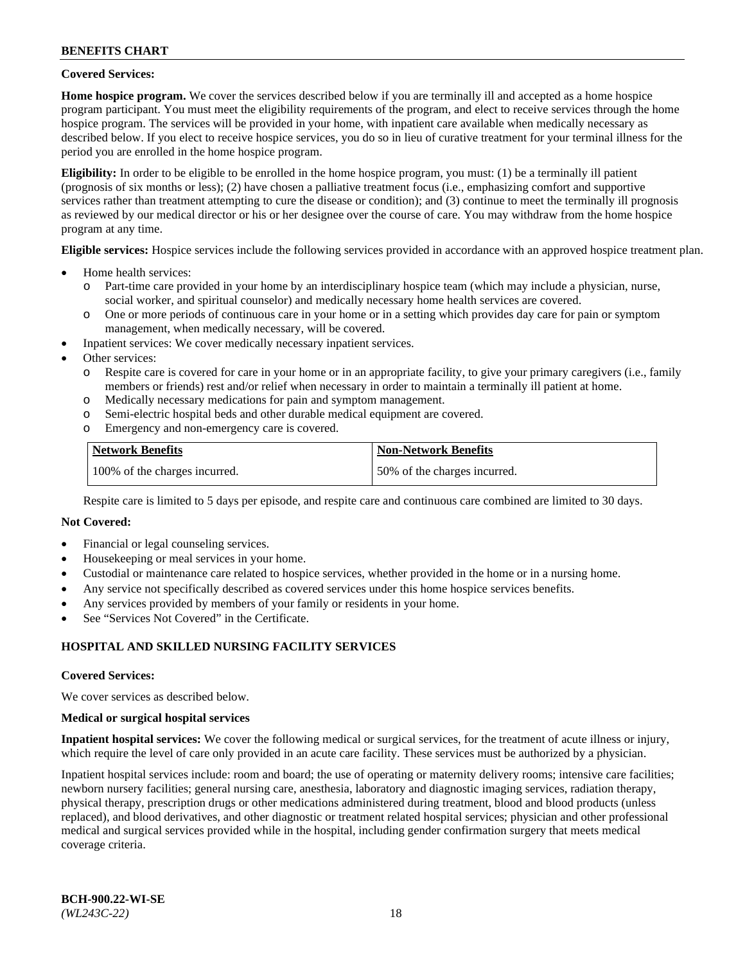### **Covered Services:**

**Home hospice program.** We cover the services described below if you are terminally ill and accepted as a home hospice program participant. You must meet the eligibility requirements of the program, and elect to receive services through the home hospice program. The services will be provided in your home, with inpatient care available when medically necessary as described below. If you elect to receive hospice services, you do so in lieu of curative treatment for your terminal illness for the period you are enrolled in the home hospice program.

**Eligibility:** In order to be eligible to be enrolled in the home hospice program, you must: (1) be a terminally ill patient (prognosis of six months or less); (2) have chosen a palliative treatment focus (i.e., emphasizing comfort and supportive services rather than treatment attempting to cure the disease or condition); and (3) continue to meet the terminally ill prognosis as reviewed by our medical director or his or her designee over the course of care. You may withdraw from the home hospice program at any time.

**Eligible services:** Hospice services include the following services provided in accordance with an approved hospice treatment plan.

- Home health services:
	- o Part-time care provided in your home by an interdisciplinary hospice team (which may include a physician, nurse, social worker, and spiritual counselor) and medically necessary home health services are covered.
	- o One or more periods of continuous care in your home or in a setting which provides day care for pain or symptom management, when medically necessary, will be covered.
- Inpatient services: We cover medically necessary inpatient services.
- Other services:
	- o Respite care is covered for care in your home or in an appropriate facility, to give your primary caregivers (i.e., family members or friends) rest and/or relief when necessary in order to maintain a terminally ill patient at home.
	- o Medically necessary medications for pain and symptom management.
	- o Semi-electric hospital beds and other durable medical equipment are covered.
	- Emergency and non-emergency care is covered.

| Network Benefits              | <b>Non-Network Benefits</b>  |
|-------------------------------|------------------------------|
| 100% of the charges incurred. | 50% of the charges incurred. |

Respite care is limited to 5 days per episode, and respite care and continuous care combined are limited to 30 days.

# **Not Covered:**

- Financial or legal counseling services.
- Housekeeping or meal services in your home.
- Custodial or maintenance care related to hospice services, whether provided in the home or in a nursing home.
- Any service not specifically described as covered services under this home hospice services benefits.
- Any services provided by members of your family or residents in your home.
- See "Services Not Covered" in the Certificate.

# **HOSPITAL AND SKILLED NURSING FACILITY SERVICES**

#### **Covered Services:**

We cover services as described below.

#### **Medical or surgical hospital services**

**Inpatient hospital services:** We cover the following medical or surgical services, for the treatment of acute illness or injury, which require the level of care only provided in an acute care facility. These services must be authorized by a physician.

Inpatient hospital services include: room and board; the use of operating or maternity delivery rooms; intensive care facilities; newborn nursery facilities; general nursing care, anesthesia, laboratory and diagnostic imaging services, radiation therapy, physical therapy, prescription drugs or other medications administered during treatment, blood and blood products (unless replaced), and blood derivatives, and other diagnostic or treatment related hospital services; physician and other professional medical and surgical services provided while in the hospital, including gender confirmation surgery that meets medical coverage criteria.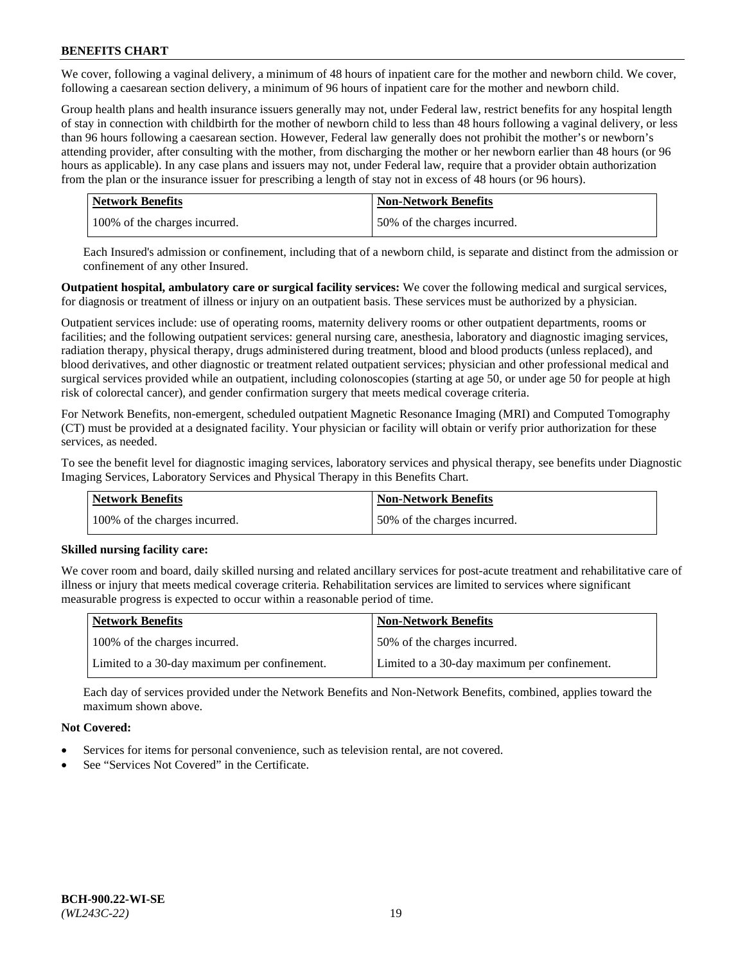We cover, following a vaginal delivery, a minimum of 48 hours of inpatient care for the mother and newborn child. We cover, following a caesarean section delivery, a minimum of 96 hours of inpatient care for the mother and newborn child.

Group health plans and health insurance issuers generally may not, under Federal law, restrict benefits for any hospital length of stay in connection with childbirth for the mother of newborn child to less than 48 hours following a vaginal delivery, or less than 96 hours following a caesarean section. However, Federal law generally does not prohibit the mother's or newborn's attending provider, after consulting with the mother, from discharging the mother or her newborn earlier than 48 hours (or 96 hours as applicable). In any case plans and issuers may not, under Federal law, require that a provider obtain authorization from the plan or the insurance issuer for prescribing a length of stay not in excess of 48 hours (or 96 hours).

| <b>Network Benefits</b>       | <b>Non-Network Benefits</b>  |
|-------------------------------|------------------------------|
| 100% of the charges incurred. | 50% of the charges incurred. |

Each Insured's admission or confinement, including that of a newborn child, is separate and distinct from the admission or confinement of any other Insured.

**Outpatient hospital, ambulatory care or surgical facility services:** We cover the following medical and surgical services, for diagnosis or treatment of illness or injury on an outpatient basis. These services must be authorized by a physician.

Outpatient services include: use of operating rooms, maternity delivery rooms or other outpatient departments, rooms or facilities; and the following outpatient services: general nursing care, anesthesia, laboratory and diagnostic imaging services, radiation therapy, physical therapy, drugs administered during treatment, blood and blood products (unless replaced), and blood derivatives, and other diagnostic or treatment related outpatient services; physician and other professional medical and surgical services provided while an outpatient, including colonoscopies (starting at age 50, or under age 50 for people at high risk of colorectal cancer), and gender confirmation surgery that meets medical coverage criteria.

For Network Benefits, non-emergent, scheduled outpatient Magnetic Resonance Imaging (MRI) and Computed Tomography (CT) must be provided at a designated facility. Your physician or facility will obtain or verify prior authorization for these services, as needed.

To see the benefit level for diagnostic imaging services, laboratory services and physical therapy, see benefits under Diagnostic Imaging Services, Laboratory Services and Physical Therapy in this Benefits Chart.

| <b>Network Benefits</b>       | <b>Non-Network Benefits</b>  |
|-------------------------------|------------------------------|
| 100% of the charges incurred. | 50% of the charges incurred. |

# **Skilled nursing facility care:**

We cover room and board, daily skilled nursing and related ancillary services for post-acute treatment and rehabilitative care of illness or injury that meets medical coverage criteria. Rehabilitation services are limited to services where significant measurable progress is expected to occur within a reasonable period of time.

| Network Benefits                             | <b>Non-Network Benefits</b>                  |
|----------------------------------------------|----------------------------------------------|
| 100% of the charges incurred.                | 50% of the charges incurred.                 |
| Limited to a 30-day maximum per confinement. | Limited to a 30-day maximum per confinement. |

Each day of services provided under the Network Benefits and Non-Network Benefits, combined, applies toward the maximum shown above.

# **Not Covered:**

- Services for items for personal convenience, such as television rental, are not covered.
- See "Services Not Covered" in the Certificate.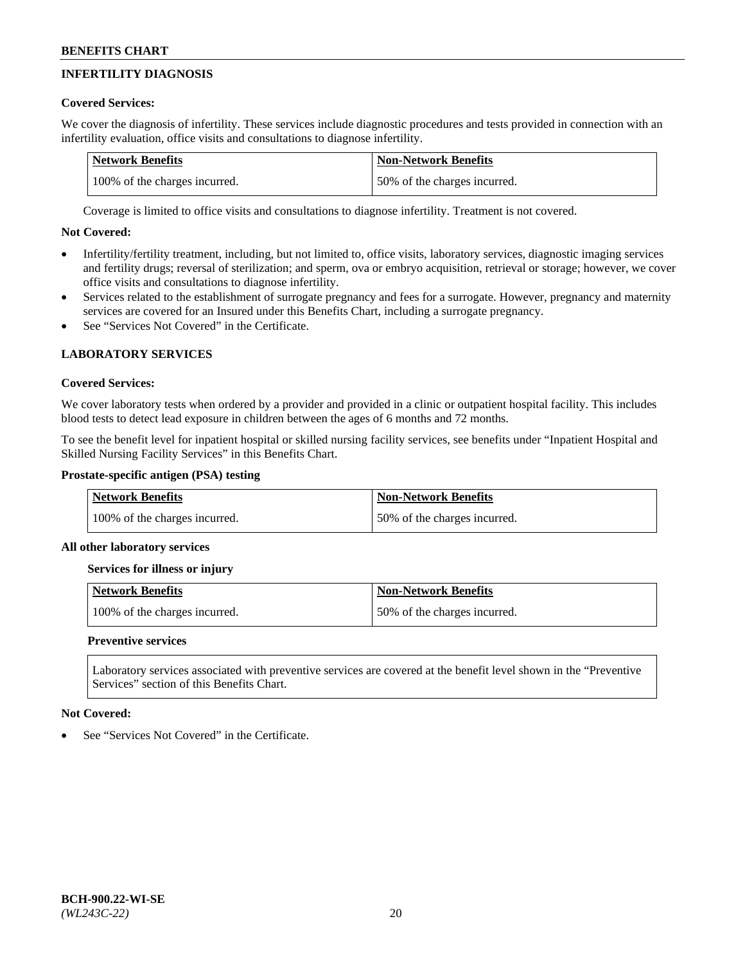# **INFERTILITY DIAGNOSIS**

# **Covered Services:**

We cover the diagnosis of infertility. These services include diagnostic procedures and tests provided in connection with an infertility evaluation, office visits and consultations to diagnose infertility.

| <b>Network Benefits</b>       | <b>Non-Network Benefits</b>  |
|-------------------------------|------------------------------|
| 100% of the charges incurred. | 50% of the charges incurred. |

Coverage is limited to office visits and consultations to diagnose infertility. Treatment is not covered.

# **Not Covered:**

- Infertility/fertility treatment, including, but not limited to, office visits, laboratory services, diagnostic imaging services and fertility drugs; reversal of sterilization; and sperm, ova or embryo acquisition, retrieval or storage; however, we cover office visits and consultations to diagnose infertility.
- Services related to the establishment of surrogate pregnancy and fees for a surrogate. However, pregnancy and maternity services are covered for an Insured under this Benefits Chart, including a surrogate pregnancy.
- See "Services Not Covered" in the Certificate.

# **LABORATORY SERVICES**

# **Covered Services:**

We cover laboratory tests when ordered by a provider and provided in a clinic or outpatient hospital facility. This includes blood tests to detect lead exposure in children between the ages of 6 months and 72 months.

To see the benefit level for inpatient hospital or skilled nursing facility services, see benefits under "Inpatient Hospital and Skilled Nursing Facility Services" in this Benefits Chart.

# **Prostate-specific antigen (PSA) testing**

| <b>Network Benefits</b>       | <b>Non-Network Benefits</b>  |
|-------------------------------|------------------------------|
| 100% of the charges incurred. | 50% of the charges incurred. |

# **All other laboratory services**

**Services for illness or injury**

| <b>Network Benefits</b>       | <b>Non-Network Benefits</b>  |
|-------------------------------|------------------------------|
| 100% of the charges incurred. | 50% of the charges incurred. |

# **Preventive services**

Laboratory services associated with preventive services are covered at the benefit level shown in the "Preventive Services" section of this Benefits Chart.

# **Not Covered:**

See "Services Not Covered" in the Certificate.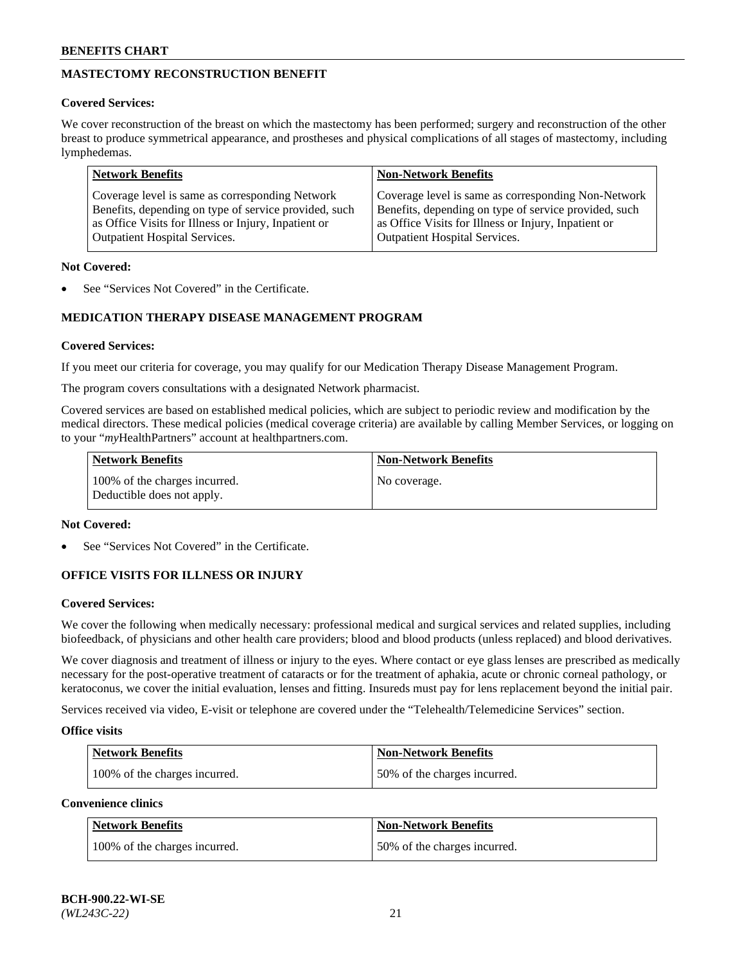# **MASTECTOMY RECONSTRUCTION BENEFIT**

# **Covered Services:**

We cover reconstruction of the breast on which the mastectomy has been performed; surgery and reconstruction of the other breast to produce symmetrical appearance, and prostheses and physical complications of all stages of mastectomy, including lymphedemas.

| <b>Network Benefits</b>                               | <b>Non-Network Benefits</b>                           |
|-------------------------------------------------------|-------------------------------------------------------|
| Coverage level is same as corresponding Network       | Coverage level is same as corresponding Non-Network   |
| Benefits, depending on type of service provided, such | Benefits, depending on type of service provided, such |
| as Office Visits for Illness or Injury, Inpatient or  | as Office Visits for Illness or Injury, Inpatient or  |
| <b>Outpatient Hospital Services.</b>                  | <b>Outpatient Hospital Services.</b>                  |

### **Not Covered:**

See "Services Not Covered" in the Certificate.

# **MEDICATION THERAPY DISEASE MANAGEMENT PROGRAM**

### **Covered Services:**

If you meet our criteria for coverage, you may qualify for our Medication Therapy Disease Management Program.

The program covers consultations with a designated Network pharmacist.

Covered services are based on established medical policies, which are subject to periodic review and modification by the medical directors. These medical policies (medical coverage criteria) are available by calling Member Services, or logging on to your "*my*HealthPartners" account at [healthpartners.com.](http://www.healthpartners.com/)

| Network Benefits                                            | <b>Non-Network Benefits</b> |
|-------------------------------------------------------------|-----------------------------|
| 100% of the charges incurred.<br>Deductible does not apply. | No coverage.                |

### **Not Covered:**

See "Services Not Covered" in the Certificate.

# **OFFICE VISITS FOR ILLNESS OR INJURY**

### **Covered Services:**

We cover the following when medically necessary: professional medical and surgical services and related supplies, including biofeedback, of physicians and other health care providers; blood and blood products (unless replaced) and blood derivatives.

We cover diagnosis and treatment of illness or injury to the eyes. Where contact or eye glass lenses are prescribed as medically necessary for the post-operative treatment of cataracts or for the treatment of aphakia, acute or chronic corneal pathology, or keratoconus, we cover the initial evaluation, lenses and fitting. Insureds must pay for lens replacement beyond the initial pair.

Services received via video, E-visit or telephone are covered under the "Telehealth/Telemedicine Services" section.

#### **Office visits**

| <b>Network Benefits</b>       | <b>Non-Network Benefits</b>  |
|-------------------------------|------------------------------|
| 100% of the charges incurred. | 50% of the charges incurred. |

**Convenience clinics**

| <b>Network Benefits</b>       | <b>Non-Network Benefits</b>   |
|-------------------------------|-------------------------------|
| 100% of the charges incurred. | 150% of the charges incurred. |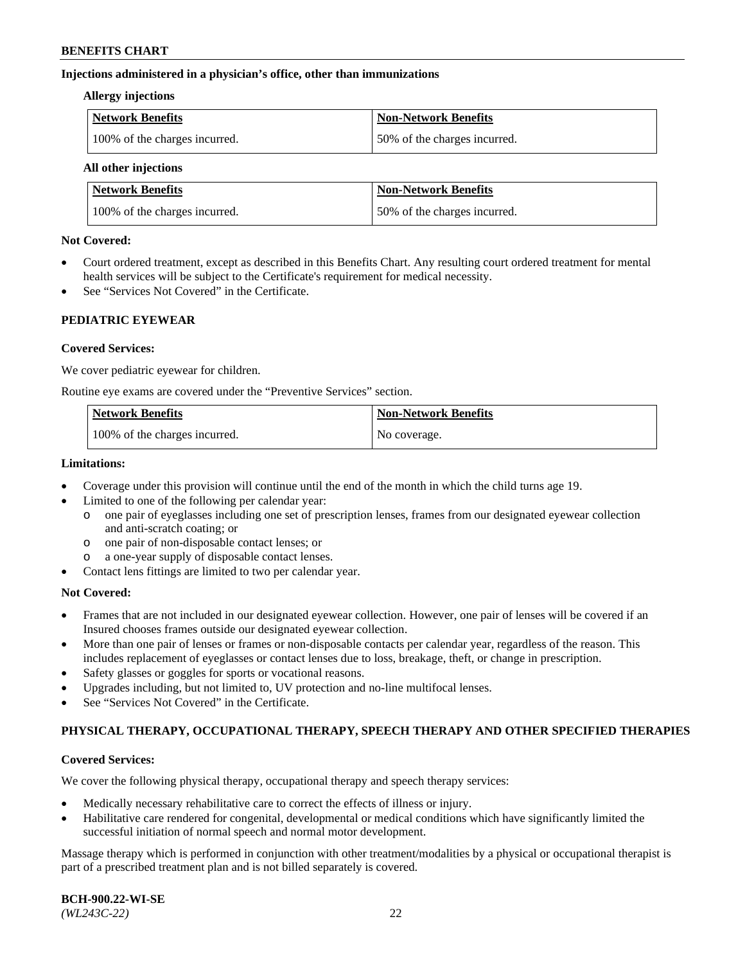### **Injections administered in a physician's office, other than immunizations**

#### **Allergy injections**

| Network Benefits              | Non-Network Benefits         |
|-------------------------------|------------------------------|
| 100% of the charges incurred. | 50% of the charges incurred. |

### **All other injections**

| <b>Network Benefits</b>       | <b>Non-Network Benefits</b>  |
|-------------------------------|------------------------------|
| 100% of the charges incurred. | 50% of the charges incurred. |

### **Not Covered:**

- Court ordered treatment, except as described in this Benefits Chart. Any resulting court ordered treatment for mental health services will be subject to the Certificate's requirement for medical necessity.
- See "Services Not Covered" in the Certificate.

# **PEDIATRIC EYEWEAR**

# **Covered Services:**

We cover pediatric eyewear for children.

Routine eye exams are covered under the "Preventive Services" section.

| Network Benefits              | <b>Non-Network Benefits</b> |
|-------------------------------|-----------------------------|
| 100% of the charges incurred. | No coverage.                |

### **Limitations:**

- Coverage under this provision will continue until the end of the month in which the child turns age 19.
- Limited to one of the following per calendar year:
	- o one pair of eyeglasses including one set of prescription lenses, frames from our designated eyewear collection and anti-scratch coating; or
	- o one pair of non-disposable contact lenses; or
	- o a one-year supply of disposable contact lenses.
- Contact lens fittings are limited to two per calendar year.

# **Not Covered:**

- Frames that are not included in our designated eyewear collection. However, one pair of lenses will be covered if an Insured chooses frames outside our designated eyewear collection.
- More than one pair of lenses or frames or non-disposable contacts per calendar year, regardless of the reason. This includes replacement of eyeglasses or contact lenses due to loss, breakage, theft, or change in prescription.
- Safety glasses or goggles for sports or vocational reasons.
- Upgrades including, but not limited to, UV protection and no-line multifocal lenses.
- See "Services Not Covered" in the Certificate.

# **PHYSICAL THERAPY, OCCUPATIONAL THERAPY, SPEECH THERAPY AND OTHER SPECIFIED THERAPIES**

# **Covered Services:**

We cover the following physical therapy, occupational therapy and speech therapy services:

- Medically necessary rehabilitative care to correct the effects of illness or injury.
- Habilitative care rendered for congenital, developmental or medical conditions which have significantly limited the successful initiation of normal speech and normal motor development.

Massage therapy which is performed in conjunction with other treatment/modalities by a physical or occupational therapist is part of a prescribed treatment plan and is not billed separately is covered.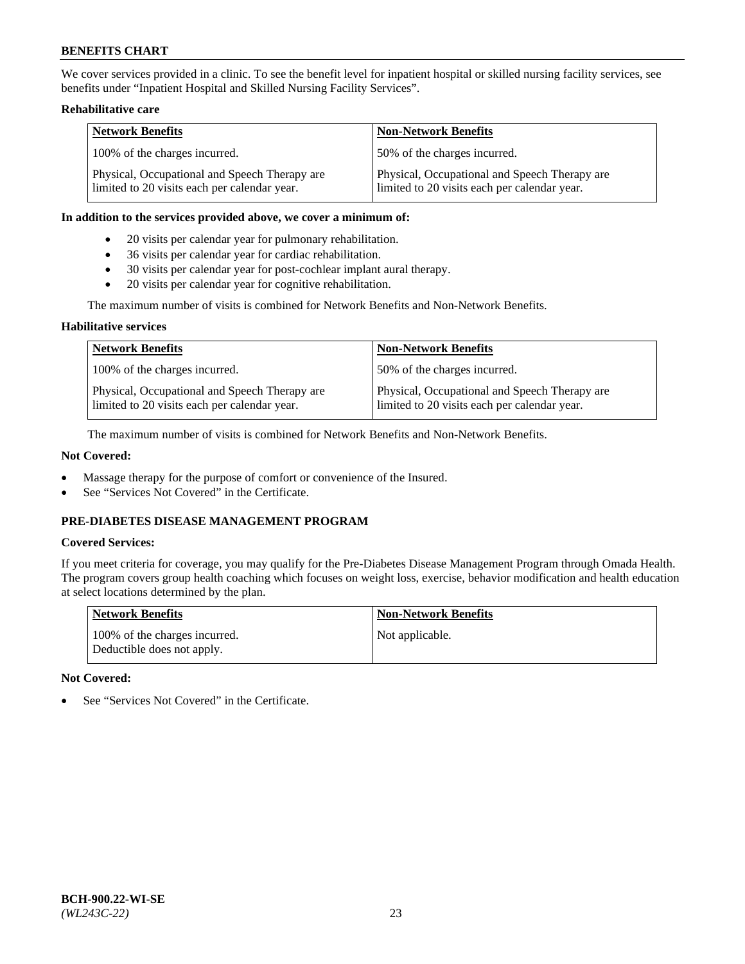We cover services provided in a clinic. To see the benefit level for inpatient hospital or skilled nursing facility services, see benefits under "Inpatient Hospital and Skilled Nursing Facility Services".

# **Rehabilitative care**

| <b>Network Benefits</b>                                                                       | <b>Non-Network Benefits</b>                                                                   |
|-----------------------------------------------------------------------------------------------|-----------------------------------------------------------------------------------------------|
| 100% of the charges incurred.                                                                 | 50% of the charges incurred.                                                                  |
| Physical, Occupational and Speech Therapy are<br>limited to 20 visits each per calendar year. | Physical, Occupational and Speech Therapy are<br>limited to 20 visits each per calendar year. |

### **In addition to the services provided above, we cover a minimum of:**

- 20 visits per calendar year for pulmonary rehabilitation.
- 36 visits per calendar year for cardiac rehabilitation.
- 30 visits per calendar year for post-cochlear implant aural therapy.
- 20 visits per calendar year for cognitive rehabilitation.

The maximum number of visits is combined for Network Benefits and Non-Network Benefits.

# **Habilitative services**

| <b>Network Benefits</b>                                                                       | <b>Non-Network Benefits</b>                                                                   |
|-----------------------------------------------------------------------------------------------|-----------------------------------------------------------------------------------------------|
| 100% of the charges incurred.                                                                 | 50% of the charges incurred.                                                                  |
| Physical, Occupational and Speech Therapy are<br>limited to 20 visits each per calendar year. | Physical, Occupational and Speech Therapy are<br>limited to 20 visits each per calendar year. |

The maximum number of visits is combined for Network Benefits and Non-Network Benefits.

# **Not Covered:**

- Massage therapy for the purpose of comfort or convenience of the Insured.
- See "Services Not Covered" in the Certificate.

# **PRE-DIABETES DISEASE MANAGEMENT PROGRAM**

# **Covered Services:**

If you meet criteria for coverage, you may qualify for the Pre-Diabetes Disease Management Program through Omada Health. The program covers group health coaching which focuses on weight loss, exercise, behavior modification and health education at select locations determined by the plan.

| <b>Network Benefits</b>                                     | <b>Non-Network Benefits</b> |
|-------------------------------------------------------------|-----------------------------|
| 100% of the charges incurred.<br>Deductible does not apply. | Not applicable.             |

# **Not Covered:**

See "Services Not Covered" in the Certificate.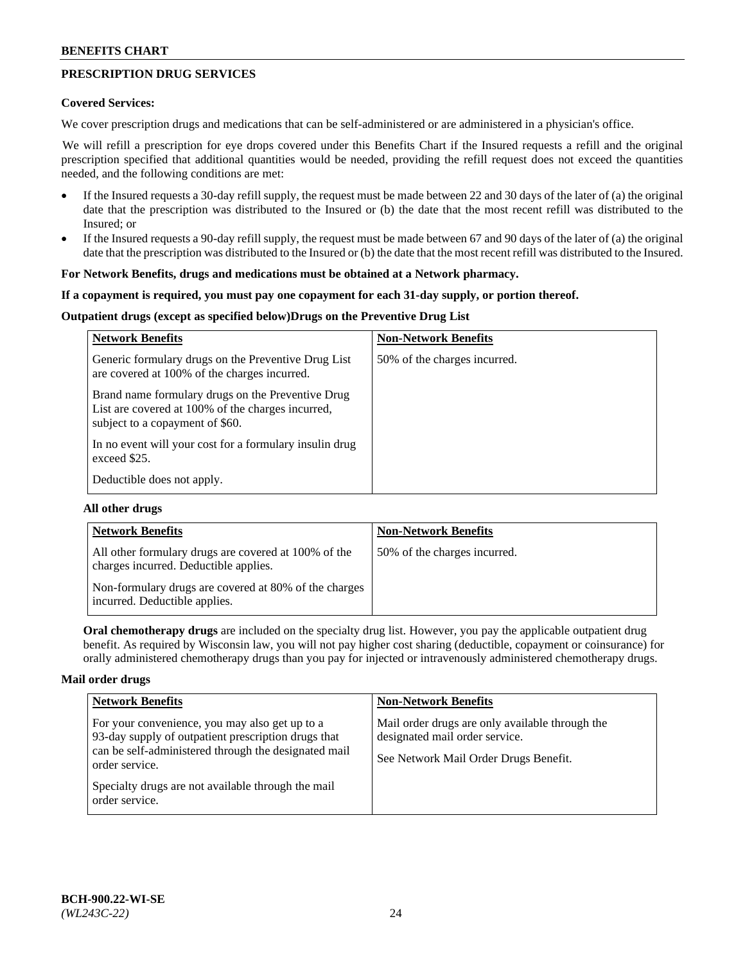# **PRESCRIPTION DRUG SERVICES**

### **Covered Services:**

We cover prescription drugs and medications that can be self-administered or are administered in a physician's office.

We will refill a prescription for eye drops covered under this Benefits Chart if the Insured requests a refill and the original prescription specified that additional quantities would be needed, providing the refill request does not exceed the quantities needed, and the following conditions are met:

- If the Insured requests a 30-day refill supply, the request must be made between 22 and 30 days of the later of (a) the original date that the prescription was distributed to the Insured or (b) the date that the most recent refill was distributed to the Insured; or
- If the Insured requests a 90-day refill supply, the request must be made between 67 and 90 days of the later of (a) the original date that the prescription was distributed to the Insured or (b) the date that the most recent refill was distributed to the Insured.

### **For Network Benefits, drugs and medications must be obtained at a Network pharmacy.**

### **If a copayment is required, you must pay one copayment for each 31-day supply, or portion thereof.**

# **Outpatient drugs (except as specified below)Drugs on the Preventive Drug List**

| <b>Network Benefits</b>                                                                                                                   | <b>Non-Network Benefits</b>  |
|-------------------------------------------------------------------------------------------------------------------------------------------|------------------------------|
| Generic formulary drugs on the Preventive Drug List<br>are covered at 100% of the charges incurred.                                       | 50% of the charges incurred. |
| Brand name formulary drugs on the Preventive Drug<br>List are covered at 100% of the charges incurred,<br>subject to a copayment of \$60. |                              |
| In no event will your cost for a formulary insulin drug<br>exceed \$25.                                                                   |                              |
| Deductible does not apply.                                                                                                                |                              |

### **All other drugs**

| <b>Network Benefits</b>                                                                       | <b>Non-Network Benefits</b>  |
|-----------------------------------------------------------------------------------------------|------------------------------|
| All other formulary drugs are covered at 100% of the<br>charges incurred. Deductible applies. | 50% of the charges incurred. |
| Non-formulary drugs are covered at 80% of the charges<br>incurred. Deductible applies.        |                              |

**Oral chemotherapy drugs** are included on the specialty drug list. However, you pay the applicable outpatient drug benefit. As required by Wisconsin law, you will not pay higher cost sharing (deductible, copayment or coinsurance) for orally administered chemotherapy drugs than you pay for injected or intravenously administered chemotherapy drugs.

#### **Mail order drugs**

| <b>Network Benefits</b>                                                                                                                                                                                                                                 | <b>Non-Network Benefits</b>                                                                                                |
|---------------------------------------------------------------------------------------------------------------------------------------------------------------------------------------------------------------------------------------------------------|----------------------------------------------------------------------------------------------------------------------------|
| For your convenience, you may also get up to a<br>93-day supply of outpatient prescription drugs that<br>can be self-administered through the designated mail<br>order service.<br>Specialty drugs are not available through the mail<br>order service. | Mail order drugs are only available through the<br>designated mail order service.<br>See Network Mail Order Drugs Benefit. |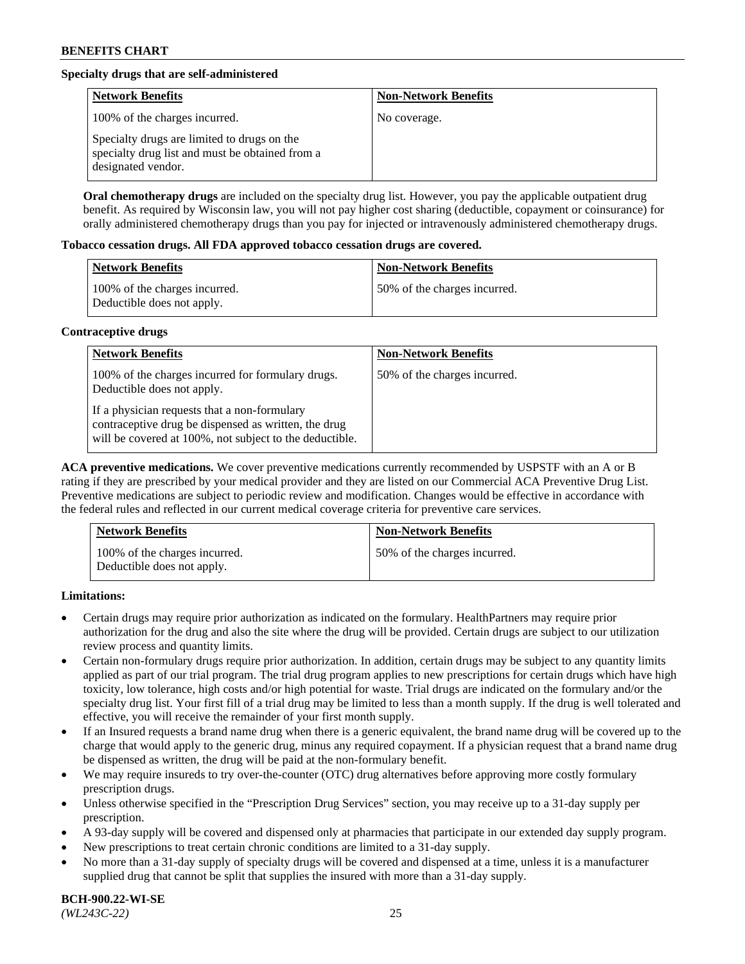# **Specialty drugs that are self-administered**

| <b>Network Benefits</b>                                                                                              | <b>Non-Network Benefits</b> |
|----------------------------------------------------------------------------------------------------------------------|-----------------------------|
| 100% of the charges incurred.                                                                                        | No coverage.                |
| Specialty drugs are limited to drugs on the<br>specialty drug list and must be obtained from a<br>designated vendor. |                             |

**Oral chemotherapy drugs** are included on the specialty drug list. However, you pay the applicable outpatient drug benefit. As required by Wisconsin law, you will not pay higher cost sharing (deductible, copayment or coinsurance) for orally administered chemotherapy drugs than you pay for injected or intravenously administered chemotherapy drugs.

### **Tobacco cessation drugs. All FDA approved tobacco cessation drugs are covered.**

| Network Benefits                                            | <b>Non-Network Benefits</b>   |
|-------------------------------------------------------------|-------------------------------|
| 100% of the charges incurred.<br>Deductible does not apply. | 150% of the charges incurred. |

# **Contraceptive drugs**

| <b>Network Benefits</b>                                                                                                                                         | <b>Non-Network Benefits</b>  |
|-----------------------------------------------------------------------------------------------------------------------------------------------------------------|------------------------------|
| 100% of the charges incurred for formulary drugs.<br>Deductible does not apply.                                                                                 | 50% of the charges incurred. |
| If a physician requests that a non-formulary<br>contraceptive drug be dispensed as written, the drug<br>will be covered at 100%, not subject to the deductible. |                              |

**ACA preventive medications.** We cover preventive medications currently recommended by USPSTF with an A or B rating if they are prescribed by your medical provider and they are listed on our Commercial ACA Preventive Drug List. Preventive medications are subject to periodic review and modification. Changes would be effective in accordance with the federal rules and reflected in our current medical coverage criteria for preventive care services.

| <b>Network Benefits</b>                                     | <b>Non-Network Benefits</b>  |
|-------------------------------------------------------------|------------------------------|
| 100% of the charges incurred.<br>Deductible does not apply. | 50% of the charges incurred. |

# **Limitations:**

- Certain drugs may require prior authorization as indicated on the formulary. HealthPartners may require prior authorization for the drug and also the site where the drug will be provided. Certain drugs are subject to our utilization review process and quantity limits.
- Certain non-formulary drugs require prior authorization. In addition, certain drugs may be subject to any quantity limits applied as part of our trial program. The trial drug program applies to new prescriptions for certain drugs which have high toxicity, low tolerance, high costs and/or high potential for waste. Trial drugs are indicated on the formulary and/or the specialty drug list. Your first fill of a trial drug may be limited to less than a month supply. If the drug is well tolerated and effective, you will receive the remainder of your first month supply.
- If an Insured requests a brand name drug when there is a generic equivalent, the brand name drug will be covered up to the charge that would apply to the generic drug, minus any required copayment. If a physician request that a brand name drug be dispensed as written, the drug will be paid at the non-formulary benefit.
- We may require insureds to try over-the-counter (OTC) drug alternatives before approving more costly formulary prescription drugs.
- Unless otherwise specified in the "Prescription Drug Services" section, you may receive up to a 31-day supply per prescription.
- A 93-day supply will be covered and dispensed only at pharmacies that participate in our extended day supply program.
- New prescriptions to treat certain chronic conditions are limited to a 31-day supply.
- No more than a 31-day supply of specialty drugs will be covered and dispensed at a time, unless it is a manufacturer supplied drug that cannot be split that supplies the insured with more than a 31-day supply.

**BCH-900.22-WI-SE**  *(WL243C-22)* 25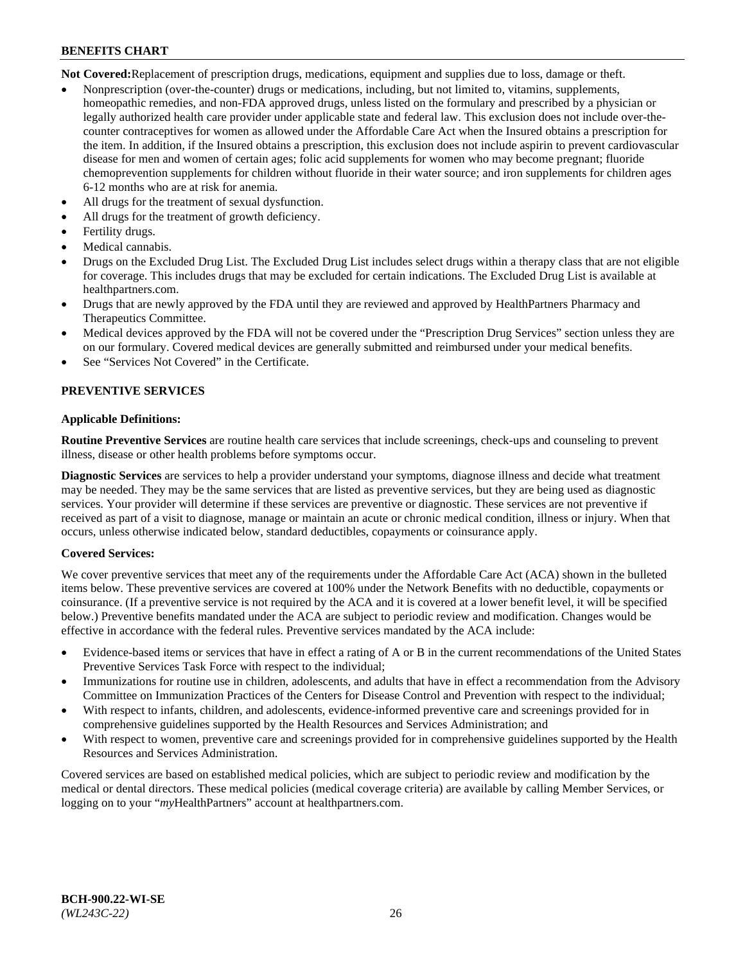**Not Covered:**Replacement of prescription drugs, medications, equipment and supplies due to loss, damage or theft.

- Nonprescription (over-the-counter) drugs or medications, including, but not limited to, vitamins, supplements, homeopathic remedies, and non-FDA approved drugs, unless listed on the formulary and prescribed by a physician or legally authorized health care provider under applicable state and federal law. This exclusion does not include over-thecounter contraceptives for women as allowed under the Affordable Care Act when the Insured obtains a prescription for the item. In addition, if the Insured obtains a prescription, this exclusion does not include aspirin to prevent cardiovascular disease for men and women of certain ages; folic acid supplements for women who may become pregnant; fluoride chemoprevention supplements for children without fluoride in their water source; and iron supplements for children ages 6-12 months who are at risk for anemia.
- All drugs for the treatment of sexual dysfunction.
- All drugs for the treatment of growth deficiency.
- Fertility drugs.
- Medical cannabis.
- Drugs on the Excluded Drug List. The Excluded Drug List includes select drugs within a therapy class that are not eligible for coverage. This includes drugs that may be excluded for certain indications. The Excluded Drug List is available at [healthpartners.com.](http://www.healthpartners.com/)
- Drugs that are newly approved by the FDA until they are reviewed and approved by HealthPartners Pharmacy and Therapeutics Committee.
- Medical devices approved by the FDA will not be covered under the "Prescription Drug Services" section unless they are on our formulary. Covered medical devices are generally submitted and reimbursed under your medical benefits.
- See "Services Not Covered" in the Certificate.

# **PREVENTIVE SERVICES**

### **Applicable Definitions:**

**Routine Preventive Services** are routine health care services that include screenings, check-ups and counseling to prevent illness, disease or other health problems before symptoms occur.

**Diagnostic Services** are services to help a provider understand your symptoms, diagnose illness and decide what treatment may be needed. They may be the same services that are listed as preventive services, but they are being used as diagnostic services. Your provider will determine if these services are preventive or diagnostic. These services are not preventive if received as part of a visit to diagnose, manage or maintain an acute or chronic medical condition, illness or injury. When that occurs, unless otherwise indicated below, standard deductibles, copayments or coinsurance apply.

# **Covered Services:**

We cover preventive services that meet any of the requirements under the Affordable Care Act (ACA) shown in the bulleted items below. These preventive services are covered at 100% under the Network Benefits with no deductible, copayments or coinsurance. (If a preventive service is not required by the ACA and it is covered at a lower benefit level, it will be specified below.) Preventive benefits mandated under the ACA are subject to periodic review and modification. Changes would be effective in accordance with the federal rules. Preventive services mandated by the ACA include:

- Evidence-based items or services that have in effect a rating of A or B in the current recommendations of the United States Preventive Services Task Force with respect to the individual;
- Immunizations for routine use in children, adolescents, and adults that have in effect a recommendation from the Advisory Committee on Immunization Practices of the Centers for Disease Control and Prevention with respect to the individual;
- With respect to infants, children, and adolescents, evidence-informed preventive care and screenings provided for in comprehensive guidelines supported by the Health Resources and Services Administration; and
- With respect to women, preventive care and screenings provided for in comprehensive guidelines supported by the Health Resources and Services Administration.

Covered services are based on established medical policies, which are subject to periodic review and modification by the medical or dental directors. These medical policies (medical coverage criteria) are available by calling Member Services, or logging on to your "*my*HealthPartners" account at [healthpartners.com.](https://www.healthpartners.com/hp/index.html)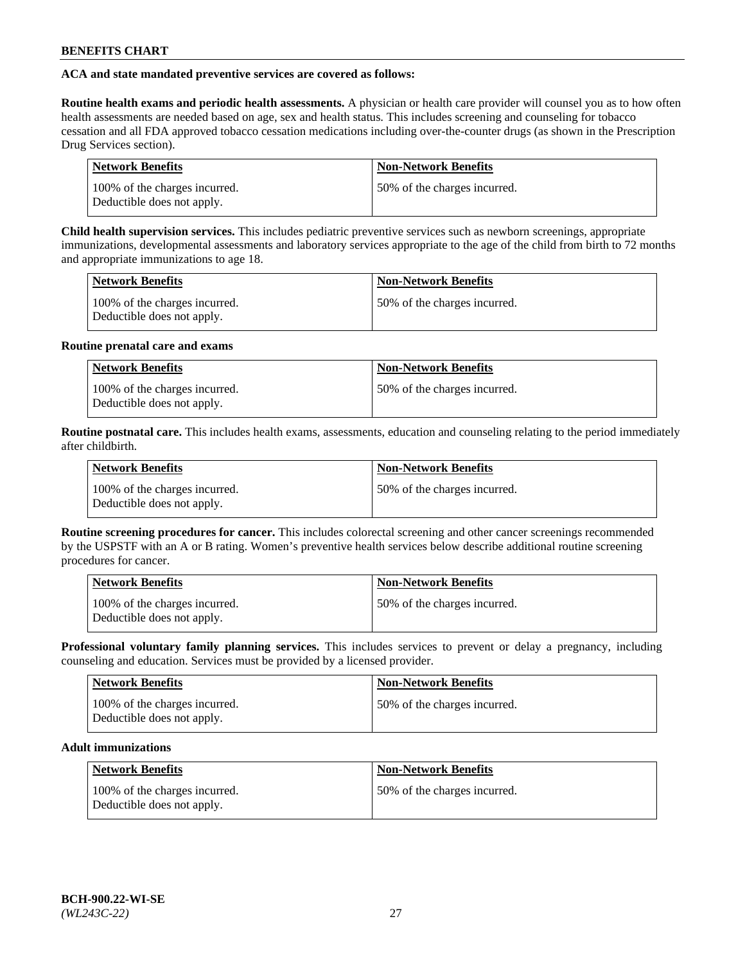# **ACA and state mandated preventive services are covered as follows:**

**Routine health exams and periodic health assessments.** A physician or health care provider will counsel you as to how often health assessments are needed based on age, sex and health status. This includes screening and counseling for tobacco cessation and all FDA approved tobacco cessation medications including over-the-counter drugs (as shown in the Prescription Drug Services section).

| <b>Network Benefits</b>                                     | <b>Non-Network Benefits</b>   |
|-------------------------------------------------------------|-------------------------------|
| 100% of the charges incurred.<br>Deductible does not apply. | 150% of the charges incurred. |

**Child health supervision services.** This includes pediatric preventive services such as newborn screenings, appropriate immunizations, developmental assessments and laboratory services appropriate to the age of the child from birth to 72 months and appropriate immunizations to age 18.

| <b>Network Benefits</b>                                     | <b>Non-Network Benefits</b>  |
|-------------------------------------------------------------|------------------------------|
| 100% of the charges incurred.<br>Deductible does not apply. | 50% of the charges incurred. |

### **Routine prenatal care and exams**

| <b>Network Benefits</b>                                     | <b>Non-Network Benefits</b>  |
|-------------------------------------------------------------|------------------------------|
| 100% of the charges incurred.<br>Deductible does not apply. | 50% of the charges incurred. |

**Routine postnatal care.** This includes health exams, assessments, education and counseling relating to the period immediately after childbirth.

| <b>Network Benefits</b>                                     | <b>Non-Network Benefits</b>  |
|-------------------------------------------------------------|------------------------------|
| 100% of the charges incurred.<br>Deductible does not apply. | 50% of the charges incurred. |

**Routine screening procedures for cancer.** This includes colorectal screening and other cancer screenings recommended by the USPSTF with an A or B rating. Women's preventive health services below describe additional routine screening procedures for cancer.

| <b>Network Benefits</b>                                     | <b>Non-Network Benefits</b>   |
|-------------------------------------------------------------|-------------------------------|
| 100% of the charges incurred.<br>Deductible does not apply. | 150% of the charges incurred. |

**Professional voluntary family planning services.** This includes services to prevent or delay a pregnancy, including counseling and education. Services must be provided by a licensed provider.

| <b>Network Benefits</b>                                     | <b>Non-Network Benefits</b>  |
|-------------------------------------------------------------|------------------------------|
| 100% of the charges incurred.<br>Deductible does not apply. | 50% of the charges incurred. |

# **Adult immunizations**

| Network Benefits                                            | <b>Non-Network Benefits</b>  |
|-------------------------------------------------------------|------------------------------|
| 100% of the charges incurred.<br>Deductible does not apply. | 50% of the charges incurred. |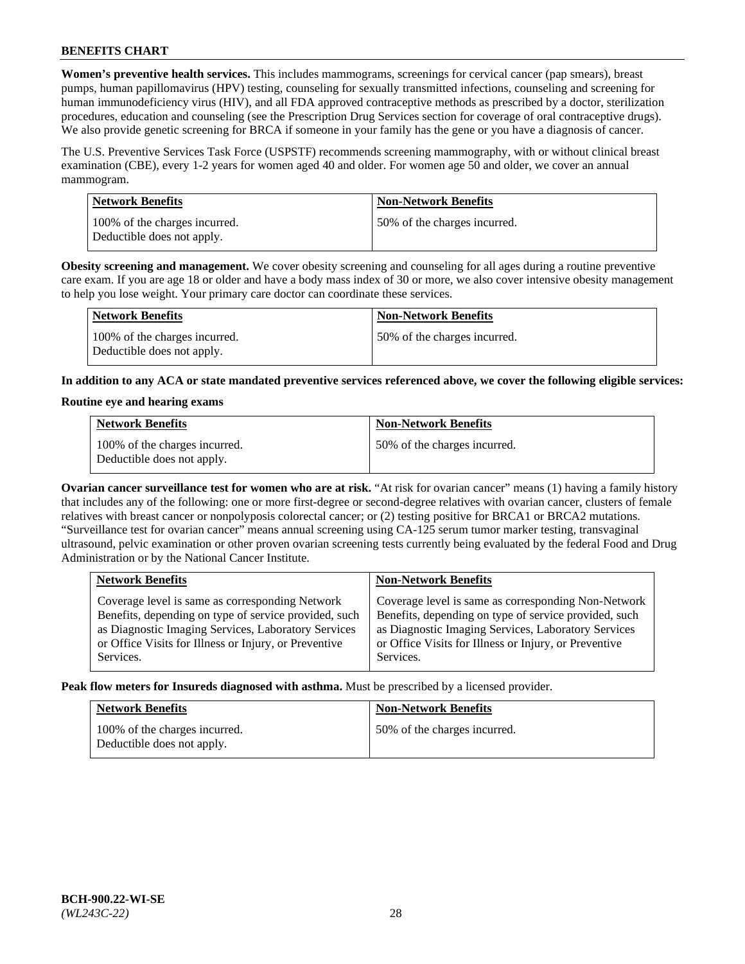**Women's preventive health services.** This includes mammograms, screenings for cervical cancer (pap smears), breast pumps, human papillomavirus (HPV) testing, counseling for sexually transmitted infections, counseling and screening for human immunodeficiency virus (HIV), and all FDA approved contraceptive methods as prescribed by a doctor, sterilization procedures, education and counseling (see the Prescription Drug Services section for coverage of oral contraceptive drugs). We also provide genetic screening for BRCA if someone in your family has the gene or you have a diagnosis of cancer.

The U.S. Preventive Services Task Force (USPSTF) recommends screening mammography, with or without clinical breast examination (CBE), every 1-2 years for women aged 40 and older. For women age 50 and older, we cover an annual mammogram.

| <b>Network Benefits</b>                                     | <b>Non-Network Benefits</b>  |
|-------------------------------------------------------------|------------------------------|
| 100% of the charges incurred.<br>Deductible does not apply. | 50% of the charges incurred. |

**Obesity screening and management.** We cover obesity screening and counseling for all ages during a routine preventive care exam. If you are age 18 or older and have a body mass index of 30 or more, we also cover intensive obesity management to help you lose weight. Your primary care doctor can coordinate these services.

| Network Benefits                                            | <b>Non-Network Benefits</b>  |
|-------------------------------------------------------------|------------------------------|
| 100% of the charges incurred.<br>Deductible does not apply. | 50% of the charges incurred. |

**In addition to any ACA or state mandated preventive services referenced above, we cover the following eligible services:**

### **Routine eye and hearing exams**

| <b>Network Benefits</b>                                     | <b>Non-Network Benefits</b>  |
|-------------------------------------------------------------|------------------------------|
| 100% of the charges incurred.<br>Deductible does not apply. | 50% of the charges incurred. |

**Ovarian cancer surveillance test for women who are at risk.** "At risk for ovarian cancer" means (1) having a family history that includes any of the following: one or more first-degree or second-degree relatives with ovarian cancer, clusters of female relatives with breast cancer or nonpolyposis colorectal cancer; or (2) testing positive for BRCA1 or BRCA2 mutations. "Surveillance test for ovarian cancer" means annual screening using CA-125 serum tumor marker testing, transvaginal ultrasound, pelvic examination or other proven ovarian screening tests currently being evaluated by the federal Food and Drug Administration or by the National Cancer Institute.

| <b>Network Benefits</b>                               | <b>Non-Network Benefits</b>                           |
|-------------------------------------------------------|-------------------------------------------------------|
| Coverage level is same as corresponding Network       | Coverage level is same as corresponding Non-Network   |
| Benefits, depending on type of service provided, such | Benefits, depending on type of service provided, such |
| as Diagnostic Imaging Services, Laboratory Services   | as Diagnostic Imaging Services, Laboratory Services   |
| or Office Visits for Illness or Injury, or Preventive | or Office Visits for Illness or Injury, or Preventive |
| Services.                                             | Services.                                             |

**Peak flow meters for Insureds diagnosed with asthma.** Must be prescribed by a licensed provider.

| <b>Network Benefits</b>                                     | <b>Non-Network Benefits</b>  |
|-------------------------------------------------------------|------------------------------|
| 100% of the charges incurred.<br>Deductible does not apply. | 50% of the charges incurred. |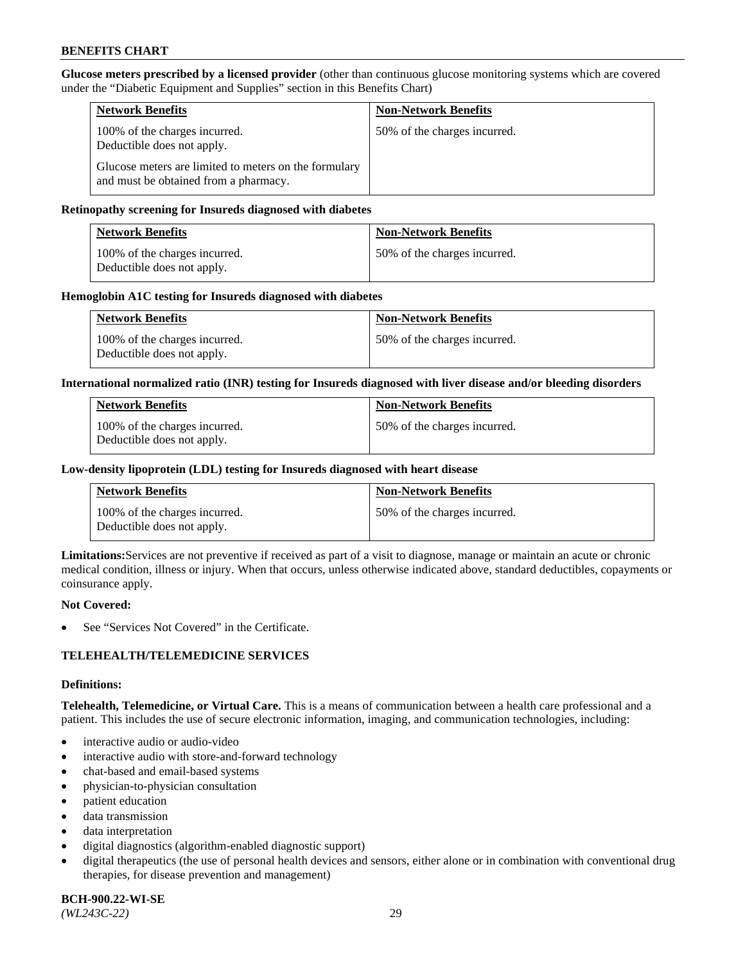**Glucose meters prescribed by a licensed provider** (other than continuous glucose monitoring systems which are covered under the "Diabetic Equipment and Supplies" section in this Benefits Chart)

| <b>Network Benefits</b>                                                                        | <b>Non-Network Benefits</b>  |
|------------------------------------------------------------------------------------------------|------------------------------|
| 100% of the charges incurred.<br>Deductible does not apply.                                    | 50% of the charges incurred. |
| Glucose meters are limited to meters on the formulary<br>and must be obtained from a pharmacy. |                              |

### **Retinopathy screening for Insureds diagnosed with diabetes**

| Network Benefits                                            | <b>Non-Network Benefits</b>  |
|-------------------------------------------------------------|------------------------------|
| 100% of the charges incurred.<br>Deductible does not apply. | 50% of the charges incurred. |

### **Hemoglobin A1C testing for Insureds diagnosed with diabetes**

| <b>Network Benefits</b>                                     | <b>Non-Network Benefits</b>  |
|-------------------------------------------------------------|------------------------------|
| 100% of the charges incurred.<br>Deductible does not apply. | 50% of the charges incurred. |

### **International normalized ratio (INR) testing for Insureds diagnosed with liver disease and/or bleeding disorders**

| <b>Network Benefits</b>                                     | <b>Non-Network Benefits</b>  |
|-------------------------------------------------------------|------------------------------|
| 100% of the charges incurred.<br>Deductible does not apply. | 50% of the charges incurred. |

### **Low-density lipoprotein (LDL) testing for Insureds diagnosed with heart disease**

| <b>Network Benefits</b>                                     | <b>Non-Network Benefits</b>  |
|-------------------------------------------------------------|------------------------------|
| 100% of the charges incurred.<br>Deductible does not apply. | 50% of the charges incurred. |

**Limitations:**Services are not preventive if received as part of a visit to diagnose, manage or maintain an acute or chronic medical condition, illness or injury. When that occurs, unless otherwise indicated above, standard deductibles, copayments or coinsurance apply.

#### **Not Covered:**

See "Services Not Covered" in the Certificate.

# **TELEHEALTH/TELEMEDICINE SERVICES**

#### **Definitions:**

**Telehealth, Telemedicine, or Virtual Care.** This is a means of communication between a health care professional and a patient. This includes the use of secure electronic information, imaging, and communication technologies, including:

- interactive audio or audio-video
- interactive audio with store-and-forward technology
- chat-based and email-based systems
- physician-to-physician consultation
- patient education
- data transmission
- data interpretation
- digital diagnostics (algorithm-enabled diagnostic support)
- digital therapeutics (the use of personal health devices and sensors, either alone or in combination with conventional drug therapies, for disease prevention and management)

**BCH-900.22-WI-SE**  *(WL243C-22)* 29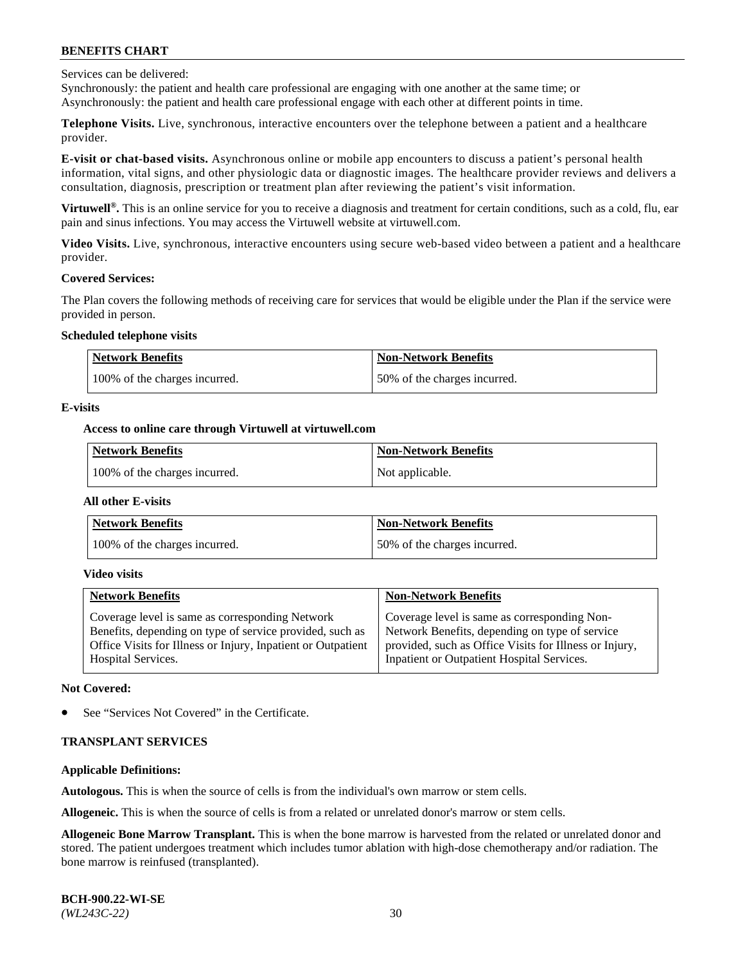Services can be delivered:

Synchronously: the patient and health care professional are engaging with one another at the same time; or Asynchronously: the patient and health care professional engage with each other at different points in time.

**Telephone Visits.** Live, synchronous, interactive encounters over the telephone between a patient and a healthcare provider.

**E-visit or chat-based visits.** Asynchronous online or mobile app encounters to discuss a patient's personal health information, vital signs, and other physiologic data or diagnostic images. The healthcare provider reviews and delivers a consultation, diagnosis, prescription or treatment plan after reviewing the patient's visit information.

**Virtuwell®.** This is an online service for you to receive a diagnosis and treatment for certain conditions, such as a cold, flu, ear pain and sinus infections. You may access the Virtuwell website at [virtuwell.com.](https://www.virtuwell.com/)

**Video Visits.** Live, synchronous, interactive encounters using secure web-based video between a patient and a healthcare provider.

#### **Covered Services:**

The Plan covers the following methods of receiving care for services that would be eligible under the Plan if the service were provided in person.

#### **Scheduled telephone visits**

| <b>Network Benefits</b>       | <b>Non-Network Benefits</b>  |
|-------------------------------|------------------------------|
| 100% of the charges incurred. | 50% of the charges incurred. |

### **E-visits**

### **Access to online care through Virtuwell at [virtuwell.com](https://www.virtuwell.com/)**

| Network Benefits              | <b>Non-Network Benefits</b> |
|-------------------------------|-----------------------------|
| 100% of the charges incurred. | Not applicable.             |

#### **All other E-visits**

| <b>Network Benefits</b>       | <b>Non-Network Benefits</b>  |
|-------------------------------|------------------------------|
| 100% of the charges incurred. | 50% of the charges incurred. |

#### **Video visits**

| <b>Network Benefits</b>                                      | <b>Non-Network Benefits</b>                            |
|--------------------------------------------------------------|--------------------------------------------------------|
| Coverage level is same as corresponding Network              | Coverage level is same as corresponding Non-           |
| Benefits, depending on type of service provided, such as     | Network Benefits, depending on type of service         |
| Office Visits for Illness or Injury, Inpatient or Outpatient | provided, such as Office Visits for Illness or Injury, |
| <b>Hospital Services.</b>                                    | Inpatient or Outpatient Hospital Services.             |

#### **Not Covered:**

See "Services Not Covered" in the Certificate.

# **TRANSPLANT SERVICES**

# **Applicable Definitions:**

**Autologous.** This is when the source of cells is from the individual's own marrow or stem cells.

**Allogeneic.** This is when the source of cells is from a related or unrelated donor's marrow or stem cells.

**Allogeneic Bone Marrow Transplant.** This is when the bone marrow is harvested from the related or unrelated donor and stored. The patient undergoes treatment which includes tumor ablation with high-dose chemotherapy and/or radiation. The bone marrow is reinfused (transplanted).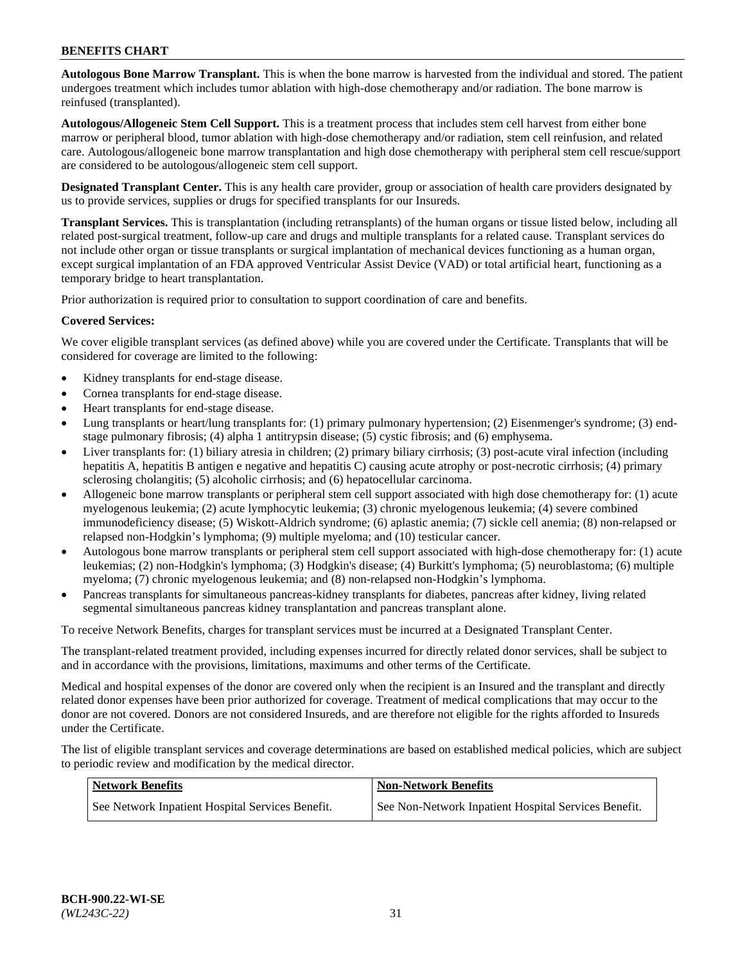**Autologous Bone Marrow Transplant.** This is when the bone marrow is harvested from the individual and stored. The patient undergoes treatment which includes tumor ablation with high-dose chemotherapy and/or radiation. The bone marrow is reinfused (transplanted).

**Autologous/Allogeneic Stem Cell Support.** This is a treatment process that includes stem cell harvest from either bone marrow or peripheral blood, tumor ablation with high-dose chemotherapy and/or radiation, stem cell reinfusion, and related care. Autologous/allogeneic bone marrow transplantation and high dose chemotherapy with peripheral stem cell rescue/support are considered to be autologous/allogeneic stem cell support.

**Designated Transplant Center.** This is any health care provider, group or association of health care providers designated by us to provide services, supplies or drugs for specified transplants for our Insureds.

**Transplant Services.** This is transplantation (including retransplants) of the human organs or tissue listed below, including all related post-surgical treatment, follow-up care and drugs and multiple transplants for a related cause. Transplant services do not include other organ or tissue transplants or surgical implantation of mechanical devices functioning as a human organ, except surgical implantation of an FDA approved Ventricular Assist Device (VAD) or total artificial heart, functioning as a temporary bridge to heart transplantation.

Prior authorization is required prior to consultation to support coordination of care and benefits.

### **Covered Services:**

We cover eligible transplant services (as defined above) while you are covered under the Certificate. Transplants that will be considered for coverage are limited to the following:

- Kidney transplants for end-stage disease.
- Cornea transplants for end-stage disease.
- Heart transplants for end-stage disease.
- Lung transplants or heart/lung transplants for: (1) primary pulmonary hypertension; (2) Eisenmenger's syndrome; (3) endstage pulmonary fibrosis; (4) alpha 1 antitrypsin disease; (5) cystic fibrosis; and (6) emphysema.
- Liver transplants for: (1) biliary atresia in children; (2) primary biliary cirrhosis; (3) post-acute viral infection (including hepatitis A, hepatitis B antigen e negative and hepatitis C) causing acute atrophy or post-necrotic cirrhosis; (4) primary sclerosing cholangitis; (5) alcoholic cirrhosis; and (6) hepatocellular carcinoma.
- Allogeneic bone marrow transplants or peripheral stem cell support associated with high dose chemotherapy for: (1) acute myelogenous leukemia; (2) acute lymphocytic leukemia; (3) chronic myelogenous leukemia; (4) severe combined immunodeficiency disease; (5) Wiskott-Aldrich syndrome; (6) aplastic anemia; (7) sickle cell anemia; (8) non-relapsed or relapsed non-Hodgkin's lymphoma; (9) multiple myeloma; and (10) testicular cancer.
- Autologous bone marrow transplants or peripheral stem cell support associated with high-dose chemotherapy for: (1) acute leukemias; (2) non-Hodgkin's lymphoma; (3) Hodgkin's disease; (4) Burkitt's lymphoma; (5) neuroblastoma; (6) multiple myeloma; (7) chronic myelogenous leukemia; and (8) non-relapsed non-Hodgkin's lymphoma.
- Pancreas transplants for simultaneous pancreas-kidney transplants for diabetes, pancreas after kidney, living related segmental simultaneous pancreas kidney transplantation and pancreas transplant alone.

To receive Network Benefits, charges for transplant services must be incurred at a Designated Transplant Center.

The transplant-related treatment provided, including expenses incurred for directly related donor services, shall be subject to and in accordance with the provisions, limitations, maximums and other terms of the Certificate.

Medical and hospital expenses of the donor are covered only when the recipient is an Insured and the transplant and directly related donor expenses have been prior authorized for coverage. Treatment of medical complications that may occur to the donor are not covered. Donors are not considered Insureds, and are therefore not eligible for the rights afforded to Insureds under the Certificate.

The list of eligible transplant services and coverage determinations are based on established medical policies, which are subject to periodic review and modification by the medical director.

| Network Benefits                                 | <b>Non-Network Benefits</b>                          |
|--------------------------------------------------|------------------------------------------------------|
| See Network Inpatient Hospital Services Benefit. | See Non-Network Inpatient Hospital Services Benefit. |